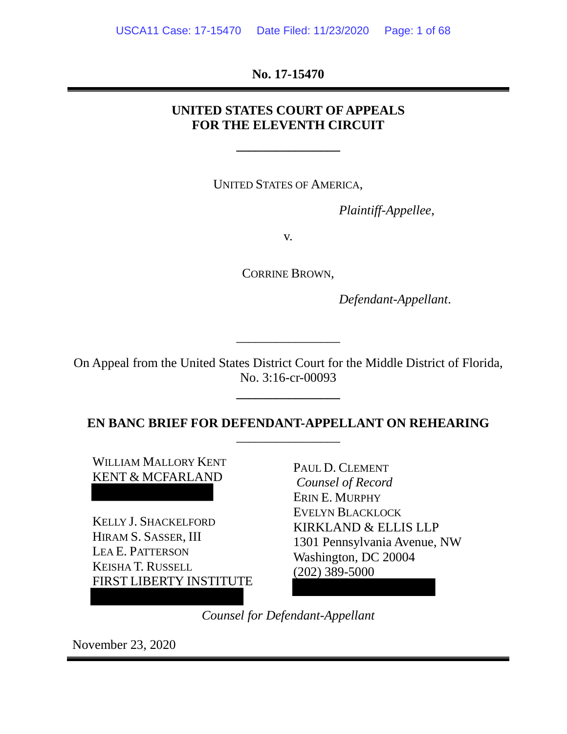**No. 17-15470**

# **UNITED STATES COURT OF APPEALS FOR THE ELEVENTH CIRCUIT**

**\_\_\_\_\_\_\_\_\_\_\_\_\_\_\_\_**

UNITED STATES OF AMERICA,

*Plaintiff-Appellee*,

v.

CORRINE BROWN,

*Defendant-Appellant*.

On Appeal from the United States District Court for the Middle District of Florida, No. 3:16-cr-00093

**\_\_\_\_\_\_\_\_\_\_\_\_\_\_\_\_**

\_\_\_\_\_\_\_\_\_\_\_\_\_\_\_\_

**EN BANC BRIEF FOR DEFENDANT-APPELLANT ON REHEARING** \_\_\_\_\_\_\_\_\_\_\_\_\_\_\_\_

WILLIAM MALLORY KENT KENT & MCFARLAND

KELLY J. SHACKELFORD HIRAM S. SASSER, III LEA E. PATTERSON KEISHA T. RUSSELL FIRST LIBERTY INSTITUTE PAUL D. CLEMENT *Counsel of Record* ERIN E. MURPHY EVELYN BLACKLOCK KIRKLAND & ELLIS LLP 1301 Pennsylvania Avenue, NW Washington, DC 20004 (202) 389-5000

*Counsel for Defendant-Appellant*

November 23, 2020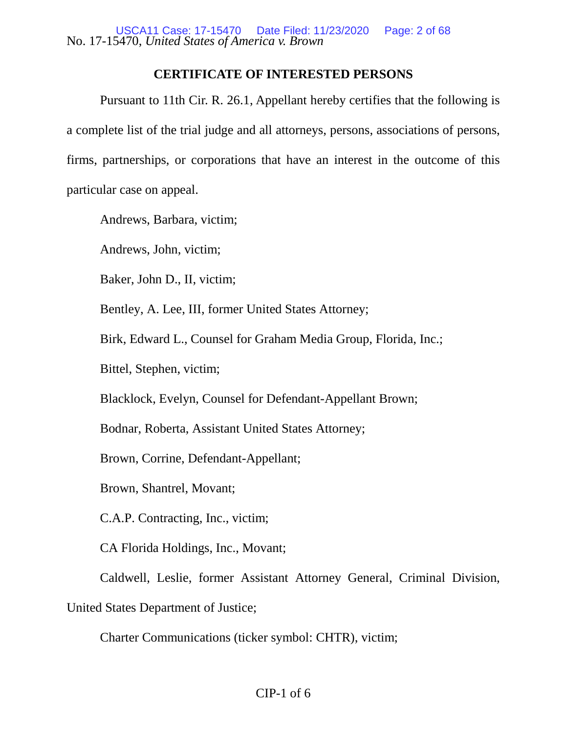## **CERTIFICATE OF INTERESTED PERSONS**

<span id="page-1-0"></span>Pursuant to 11th Cir. R. 26.1, Appellant hereby certifies that the following is a complete list of the trial judge and all attorneys, persons, associations of persons, firms, partnerships, or corporations that have an interest in the outcome of this particular case on appeal.

Andrews, Barbara, victim;

Andrews, John, victim;

Baker, John D., II, victim;

Bentley, A. Lee, III, former United States Attorney;

Birk, Edward L., Counsel for Graham Media Group, Florida, Inc.;

Bittel, Stephen, victim;

Blacklock, Evelyn, Counsel for Defendant-Appellant Brown;

Bodnar, Roberta, Assistant United States Attorney;

Brown, Corrine, Defendant-Appellant;

Brown, Shantrel, Movant;

C.A.P. Contracting, Inc., victim;

CA Florida Holdings, Inc., Movant;

Caldwell, Leslie, former Assistant Attorney General, Criminal Division,

United States Department of Justice;

Charter Communications (ticker symbol: CHTR), victim;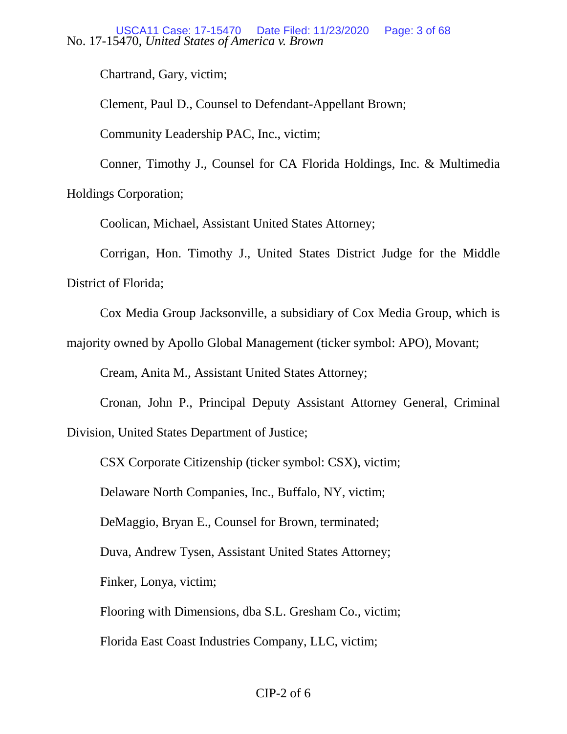Chartrand, Gary, victim;

Clement, Paul D., Counsel to Defendant-Appellant Brown;

Community Leadership PAC, Inc., victim;

Conner, Timothy J., Counsel for CA Florida Holdings, Inc. & Multimedia Holdings Corporation;

Coolican, Michael, Assistant United States Attorney;

Corrigan, Hon. Timothy J., United States District Judge for the Middle District of Florida;

Cox Media Group Jacksonville, a subsidiary of Cox Media Group, which is

majority owned by Apollo Global Management (ticker symbol: APO), Movant;

Cream, Anita M., Assistant United States Attorney;

Cronan, John P., Principal Deputy Assistant Attorney General, Criminal Division, United States Department of Justice;

CSX Corporate Citizenship (ticker symbol: CSX), victim;

Delaware North Companies, Inc., Buffalo, NY, victim;

DeMaggio, Bryan E., Counsel for Brown, terminated;

Duva, Andrew Tysen, Assistant United States Attorney;

Finker, Lonya, victim;

Flooring with Dimensions, dba S.L. Gresham Co., victim;

Florida East Coast Industries Company, LLC, victim;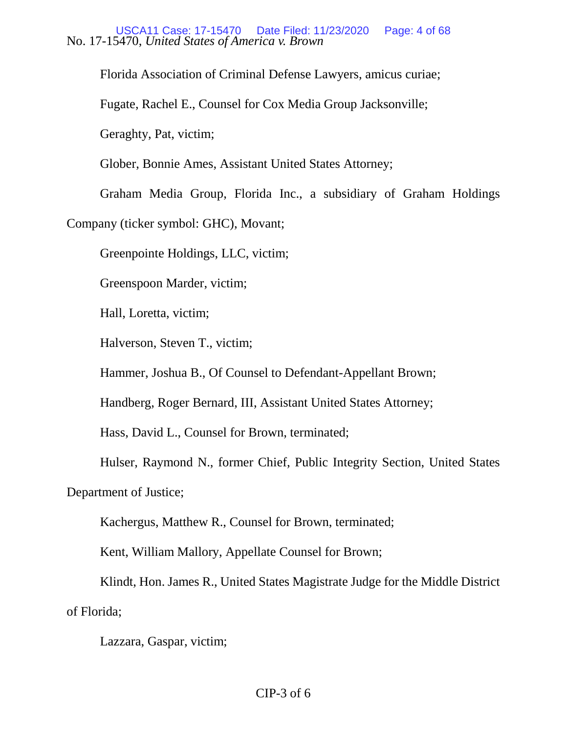Florida Association of Criminal Defense Lawyers, amicus curiae;

Fugate, Rachel E., Counsel for Cox Media Group Jacksonville;

Geraghty, Pat, victim;

Glober, Bonnie Ames, Assistant United States Attorney;

Graham Media Group, Florida Inc., a subsidiary of Graham Holdings

Company (ticker symbol: GHC), Movant;

Greenpointe Holdings, LLC, victim;

Greenspoon Marder, victim;

Hall, Loretta, victim;

Halverson, Steven T., victim;

Hammer, Joshua B., Of Counsel to Defendant-Appellant Brown;

Handberg, Roger Bernard, III, Assistant United States Attorney;

Hass, David L., Counsel for Brown, terminated;

Hulser, Raymond N., former Chief, Public Integrity Section, United States

Department of Justice;

Kachergus, Matthew R., Counsel for Brown, terminated;

Kent, William Mallory, Appellate Counsel for Brown;

Klindt, Hon. James R., United States Magistrate Judge for the Middle District of Florida;

Lazzara, Gaspar, victim;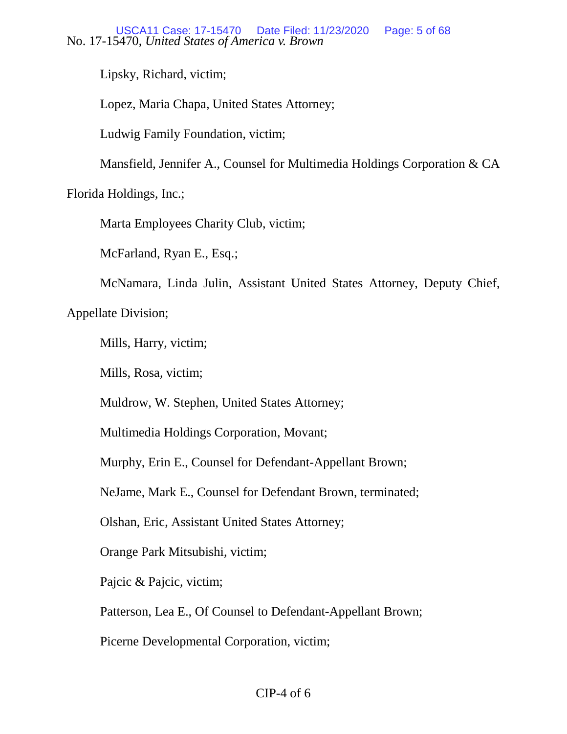Lipsky, Richard, victim;

Lopez, Maria Chapa, United States Attorney;

Ludwig Family Foundation, victim;

Mansfield, Jennifer A., Counsel for Multimedia Holdings Corporation & CA

Florida Holdings, Inc.;

Marta Employees Charity Club, victim;

McFarland, Ryan E., Esq.;

McNamara, Linda Julin, Assistant United States Attorney, Deputy Chief,

Appellate Division;

Mills, Harry, victim;

Mills, Rosa, victim;

Muldrow, W. Stephen, United States Attorney;

Multimedia Holdings Corporation, Movant;

Murphy, Erin E., Counsel for Defendant-Appellant Brown;

NeJame, Mark E., Counsel for Defendant Brown, terminated;

Olshan, Eric, Assistant United States Attorney;

Orange Park Mitsubishi, victim;

Pajcic & Pajcic, victim;

Patterson, Lea E., Of Counsel to Defendant-Appellant Brown;

Picerne Developmental Corporation, victim;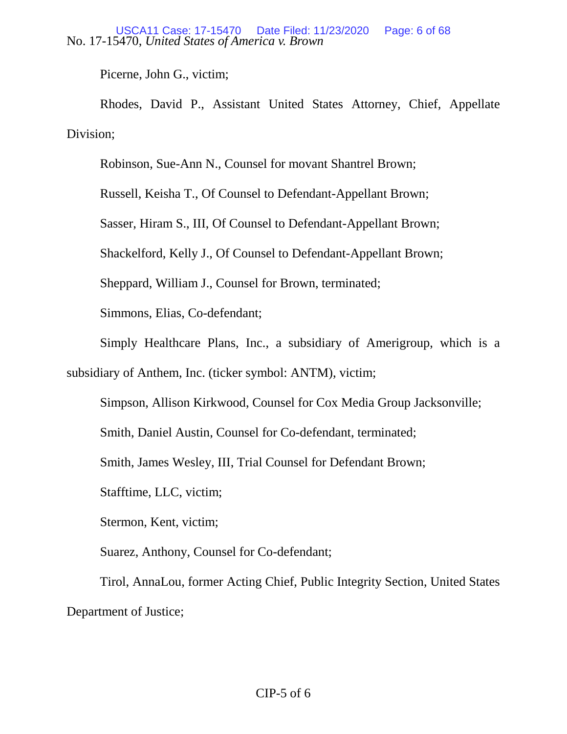Picerne, John G., victim;

Rhodes, David P., Assistant United States Attorney, Chief, Appellate Division;

Robinson, Sue-Ann N., Counsel for movant Shantrel Brown;

Russell, Keisha T., Of Counsel to Defendant-Appellant Brown;

Sasser, Hiram S., III, Of Counsel to Defendant-Appellant Brown;

Shackelford, Kelly J., Of Counsel to Defendant-Appellant Brown;

Sheppard, William J., Counsel for Brown, terminated;

Simmons, Elias, Co-defendant;

Simply Healthcare Plans, Inc., a subsidiary of Amerigroup, which is a

subsidiary of Anthem, Inc. (ticker symbol: ANTM), victim;

Simpson, Allison Kirkwood, Counsel for Cox Media Group Jacksonville;

Smith, Daniel Austin, Counsel for Co-defendant, terminated;

Smith, James Wesley, III, Trial Counsel for Defendant Brown;

Stafftime, LLC, victim;

Stermon, Kent, victim;

Suarez, Anthony, Counsel for Co-defendant;

Tirol, AnnaLou, former Acting Chief, Public Integrity Section, United States Department of Justice;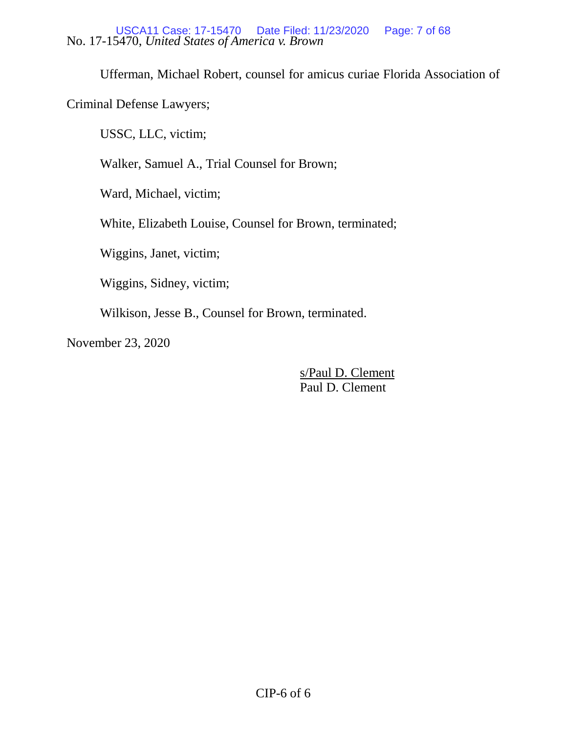Ufferman, Michael Robert, counsel for amicus curiae Florida Association of

Criminal Defense Lawyers;

USSC, LLC, victim;

Walker, Samuel A., Trial Counsel for Brown;

Ward, Michael, victim;

White, Elizabeth Louise, Counsel for Brown, terminated;

Wiggins, Janet, victim;

Wiggins, Sidney, victim;

Wilkison, Jesse B., Counsel for Brown, terminated.

November 23, 2020

s/Paul D. Clement Paul D. Clement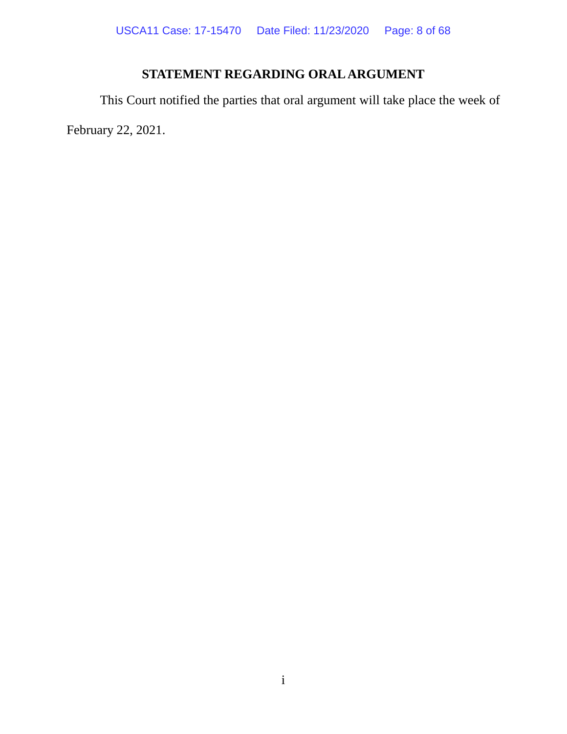# **STATEMENT REGARDING ORAL ARGUMENT**

<span id="page-7-0"></span>This Court notified the parties that oral argument will take place the week of February 22, 2021.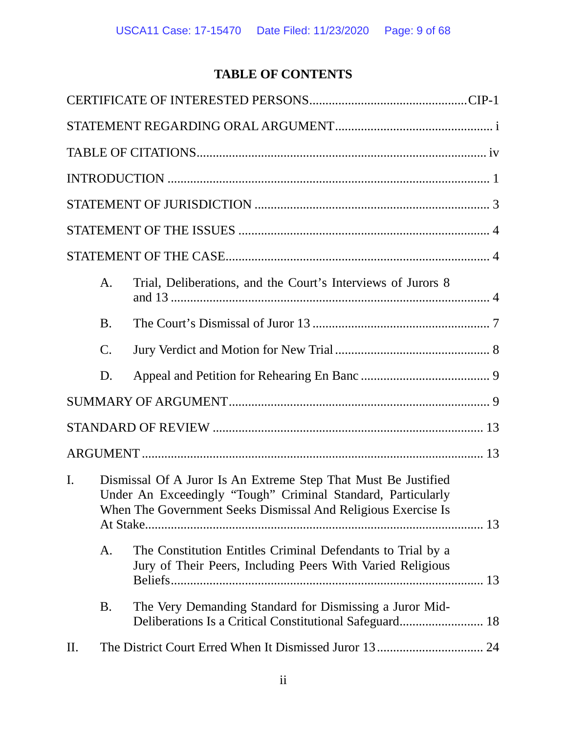# **TABLE OF CONTENTS**

|    | A.              | Trial, Deliberations, and the Court's Interviews of Jurors 8                                                                                                                                    |
|----|-----------------|-------------------------------------------------------------------------------------------------------------------------------------------------------------------------------------------------|
|    | <b>B.</b>       |                                                                                                                                                                                                 |
|    | $\mathcal{C}$ . |                                                                                                                                                                                                 |
|    | D.              |                                                                                                                                                                                                 |
|    |                 |                                                                                                                                                                                                 |
|    |                 |                                                                                                                                                                                                 |
|    |                 |                                                                                                                                                                                                 |
| I. |                 | Dismissal Of A Juror Is An Extreme Step That Must Be Justified<br>Under An Exceedingly "Tough" Criminal Standard, Particularly<br>When The Government Seeks Dismissal And Religious Exercise Is |
|    | A.              | The Constitution Entitles Criminal Defendants to Trial by a<br>Jury of Their Peers, Including Peers With Varied Religious                                                                       |
|    | <b>B.</b>       | The Very Demanding Standard for Dismissing a Juror Mid-                                                                                                                                         |
| Π. |                 |                                                                                                                                                                                                 |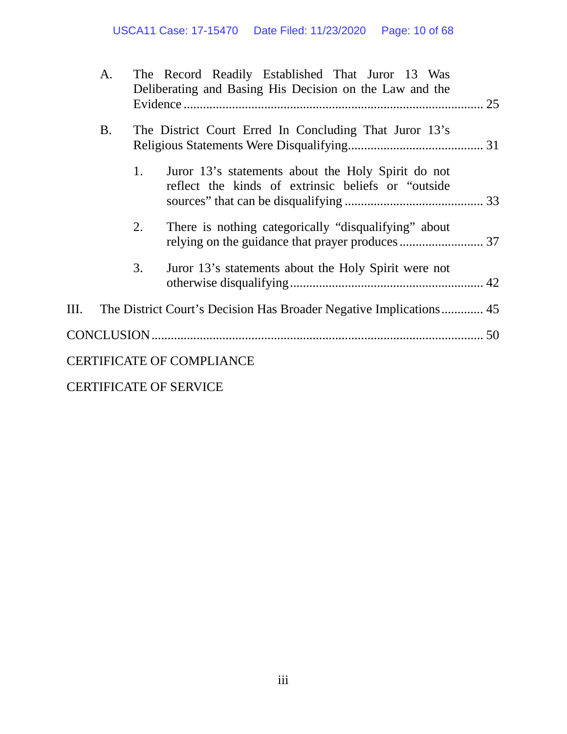|      | A.        |    | The Record Readily Established That Juror 13 Was<br>Deliberating and Basing His Decision on the Law and the |  |
|------|-----------|----|-------------------------------------------------------------------------------------------------------------|--|
|      | <b>B.</b> |    | The District Court Erred In Concluding That Juror 13's                                                      |  |
|      |           | 1. | Juror 13's statements about the Holy Spirit do not<br>reflect the kinds of extrinsic beliefs or "outside"   |  |
|      |           | 2. | There is nothing categorically "disqualifying" about                                                        |  |
|      |           | 3. | Juror 13's statements about the Holy Spirit were not                                                        |  |
| III. |           |    |                                                                                                             |  |
|      |           |    |                                                                                                             |  |
|      |           |    | <b>CERTIFICATE OF COMPLIANCE</b>                                                                            |  |

[CERTIFICATE OF SERVICE](#page-67-0)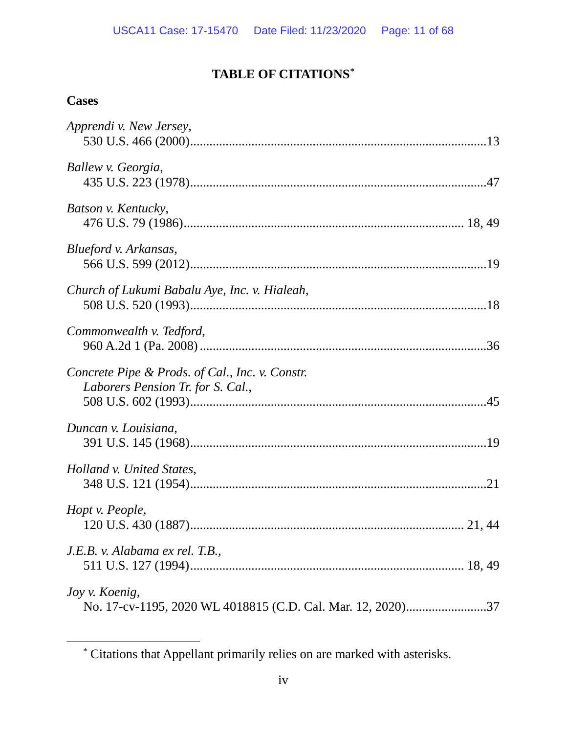# **TABLE OF CITATIONS[\\*](#page-10-1)**

# <span id="page-10-0"></span>**Cases**

<span id="page-10-1"></span> $\overline{a}$ 

| Apprendi v. New Jersey,                                     |  |
|-------------------------------------------------------------|--|
|                                                             |  |
| Ballew v. Georgia,                                          |  |
|                                                             |  |
| Batson v. Kentucky,                                         |  |
|                                                             |  |
| Blueford v. Arkansas,                                       |  |
|                                                             |  |
|                                                             |  |
| Church of Lukumi Babalu Aye, Inc. v. Hialeah,               |  |
|                                                             |  |
| Commonwealth v. Tedford,                                    |  |
|                                                             |  |
| Concrete Pipe & Prods. of Cal., Inc. v. Constr.             |  |
| Laborers Pension Tr. for S. Cal.,                           |  |
|                                                             |  |
| Duncan v. Louisiana,                                        |  |
|                                                             |  |
| Holland v. United States,                                   |  |
|                                                             |  |
| Hopt v. People,                                             |  |
|                                                             |  |
| J.E.B. v. Alabama ex rel. T.B.,                             |  |
|                                                             |  |
| Joy v. Koenig,                                              |  |
| No. 17-cv-1195, 2020 WL 4018815 (C.D. Cal. Mar. 12, 2020)37 |  |

<sup>\*</sup> Citations that Appellant primarily relies on are marked with asterisks.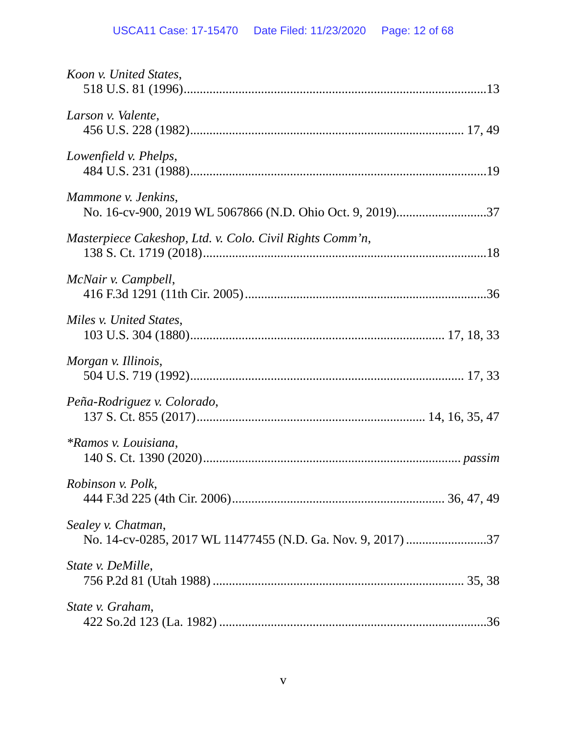| Koon v. United States,                                                            |  |
|-----------------------------------------------------------------------------------|--|
| Larson v. Valente,                                                                |  |
| Lowenfield v. Phelps,                                                             |  |
| Mammone v. Jenkins,<br>No. 16-cv-900, 2019 WL 5067866 (N.D. Ohio Oct. 9, 2019)37  |  |
| Masterpiece Cakeshop, Ltd. v. Colo. Civil Rights Comm'n,                          |  |
| McNair v. Campbell,                                                               |  |
| Miles v. United States.                                                           |  |
| Morgan v. Illinois,                                                               |  |
| Peña-Rodriguez v. Colorado,                                                       |  |
| <i>*Ramos v. Louisiana,</i>                                                       |  |
| <i>Robinson v. Polk,</i>                                                          |  |
| Sealey v. Chatman,<br>No. 14-cv-0285, 2017 WL 11477455 (N.D. Ga. Nov. 9, 2017) 37 |  |
| State v. DeMille,                                                                 |  |
| State v. Graham,                                                                  |  |
|                                                                                   |  |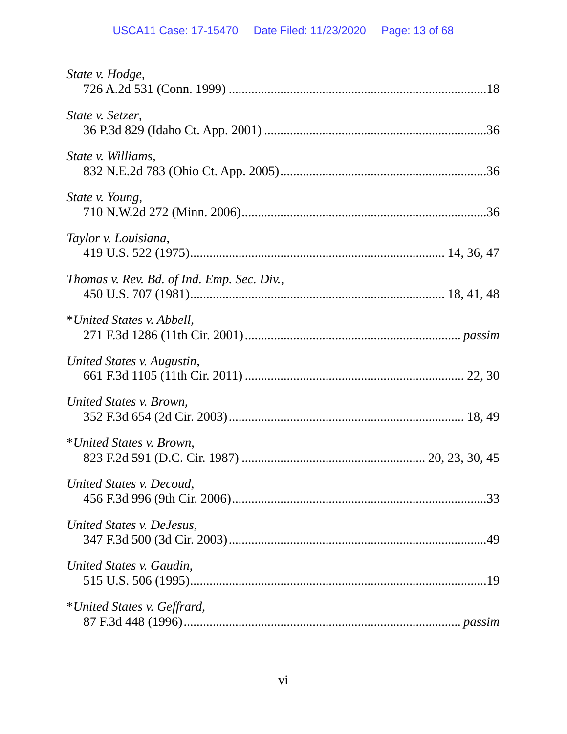| State v. Hodge,                            |  |
|--------------------------------------------|--|
| State v. Setzer,                           |  |
| State v. Williams,                         |  |
| State v. Young,                            |  |
| Taylor v. Louisiana,                       |  |
| Thomas v. Rev. Bd. of Ind. Emp. Sec. Div., |  |
| *United States v. Abbell,                  |  |
| United States v. Augustin,                 |  |
| United States v. Brown,                    |  |
| *United States v. Brown,                   |  |
| United States v. Decoud,                   |  |
| United States v. DeJesus,                  |  |
| United States v. Gaudin,                   |  |
| *United States v. Geffrard,                |  |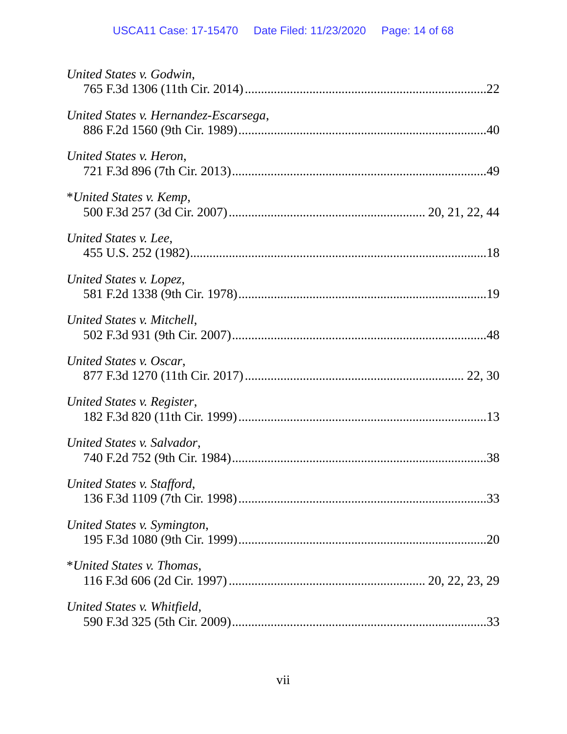| United States v. Godwin,              |
|---------------------------------------|
| United States v. Hernandez-Escarsega, |
| United States v. Heron,               |
| *United States v. Kemp,               |
| United States v. Lee,                 |
| United States v. Lopez,               |
| United States v. Mitchell,            |
| United States v. Oscar,               |
| United States v. Register,            |
| United States v. Salvador,            |
| United States v. Stafford,            |
| United States v. Symington,           |
| *United States v. Thomas,             |
| United States v. Whitfield,           |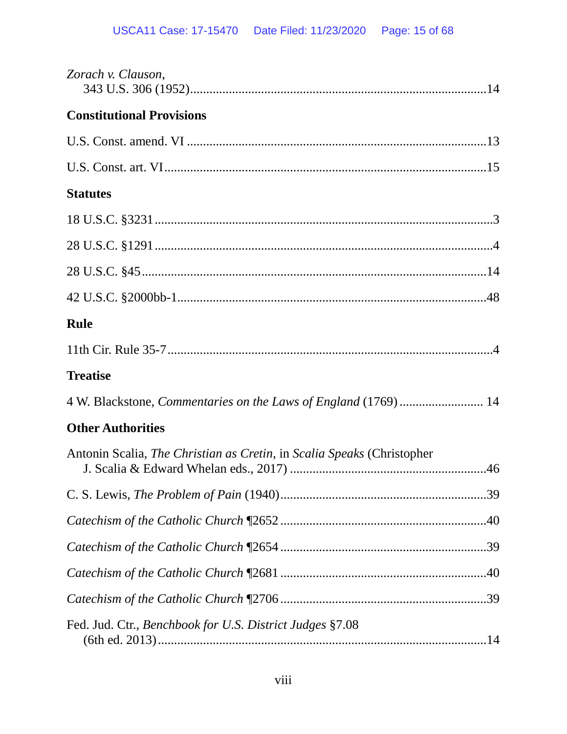| Zorach v. Clauson,                                                                    |
|---------------------------------------------------------------------------------------|
| <b>Constitutional Provisions</b>                                                      |
|                                                                                       |
|                                                                                       |
| <b>Statutes</b>                                                                       |
|                                                                                       |
|                                                                                       |
|                                                                                       |
|                                                                                       |
| <b>Rule</b>                                                                           |
|                                                                                       |
| <b>Treatise</b>                                                                       |
| 4 W. Blackstone, Commentaries on the Laws of England (1769)  14                       |
| <b>Other Authorities</b>                                                              |
| Antonin Scalia, <i>The Christian as Cretin</i> , in <i>Scalia Speaks</i> (Christopher |
|                                                                                       |
|                                                                                       |
|                                                                                       |
|                                                                                       |
|                                                                                       |
| Fed. Jud. Ctr., Benchbook for U.S. District Judges §7.08                              |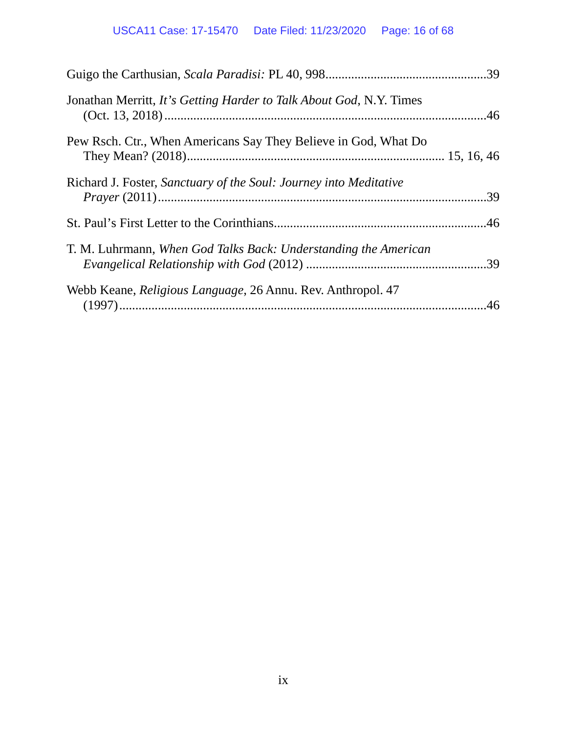| Jonathan Merritt, It's Getting Harder to Talk About God, N.Y. Times |  |
|---------------------------------------------------------------------|--|
| Pew Rsch. Ctr., When Americans Say They Believe in God, What Do     |  |
| Richard J. Foster, Sanctuary of the Soul: Journey into Meditative   |  |
|                                                                     |  |
| T. M. Luhrmann, When God Talks Back: Understanding the American     |  |
| Webb Keane, <i>Religious Language</i> , 26 Annu. Rev. Anthropol. 47 |  |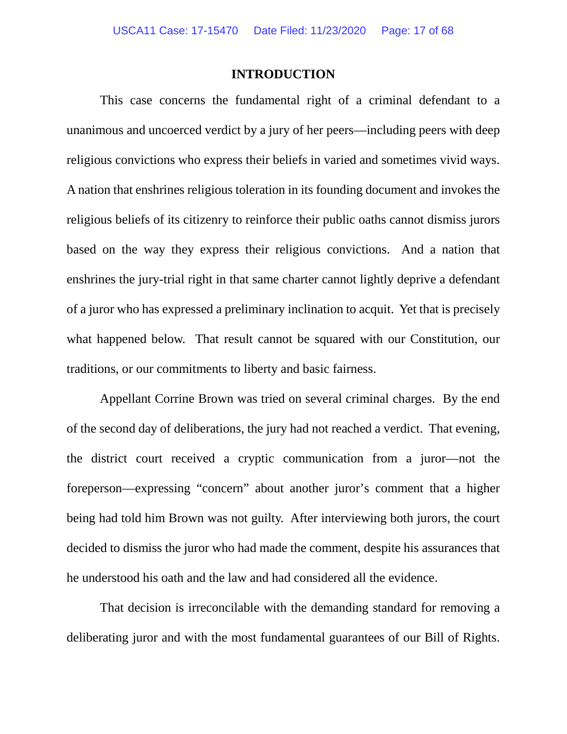### **INTRODUCTION**

<span id="page-16-0"></span>This case concerns the fundamental right of a criminal defendant to a unanimous and uncoerced verdict by a jury of her peers—including peers with deep religious convictions who express their beliefs in varied and sometimes vivid ways. A nation that enshrines religious toleration in its founding document and invokes the religious beliefs of its citizenry to reinforce their public oaths cannot dismiss jurors based on the way they express their religious convictions. And a nation that enshrines the jury-trial right in that same charter cannot lightly deprive a defendant of a juror who has expressed a preliminary inclination to acquit. Yet that is precisely what happened below. That result cannot be squared with our Constitution, our traditions, or our commitments to liberty and basic fairness.

Appellant Corrine Brown was tried on several criminal charges. By the end of the second day of deliberations, the jury had not reached a verdict. That evening, the district court received a cryptic communication from a juror—not the foreperson—expressing "concern" about another juror's comment that a higher being had told him Brown was not guilty. After interviewing both jurors, the court decided to dismiss the juror who had made the comment, despite his assurances that he understood his oath and the law and had considered all the evidence.

That decision is irreconcilable with the demanding standard for removing a deliberating juror and with the most fundamental guarantees of our Bill of Rights.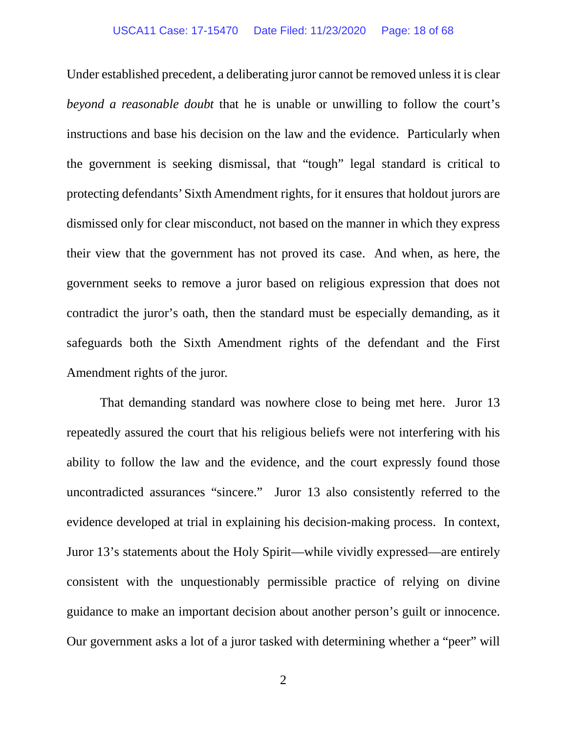### USCA11 Case: 17-15470 Date Filed: 11/23/2020 Page: 18 of 68

Under established precedent, a deliberating juror cannot be removed unless it is clear *beyond a reasonable doubt* that he is unable or unwilling to follow the court's instructions and base his decision on the law and the evidence. Particularly when the government is seeking dismissal, that "tough" legal standard is critical to protecting defendants' Sixth Amendment rights, for it ensures that holdout jurors are dismissed only for clear misconduct, not based on the manner in which they express their view that the government has not proved its case. And when, as here, the government seeks to remove a juror based on religious expression that does not contradict the juror's oath, then the standard must be especially demanding, as it safeguards both the Sixth Amendment rights of the defendant and the First Amendment rights of the juror.

That demanding standard was nowhere close to being met here. Juror 13 repeatedly assured the court that his religious beliefs were not interfering with his ability to follow the law and the evidence, and the court expressly found those uncontradicted assurances "sincere." Juror 13 also consistently referred to the evidence developed at trial in explaining his decision-making process. In context, Juror 13's statements about the Holy Spirit—while vividly expressed—are entirely consistent with the unquestionably permissible practice of relying on divine guidance to make an important decision about another person's guilt or innocence. Our government asks a lot of a juror tasked with determining whether a "peer" will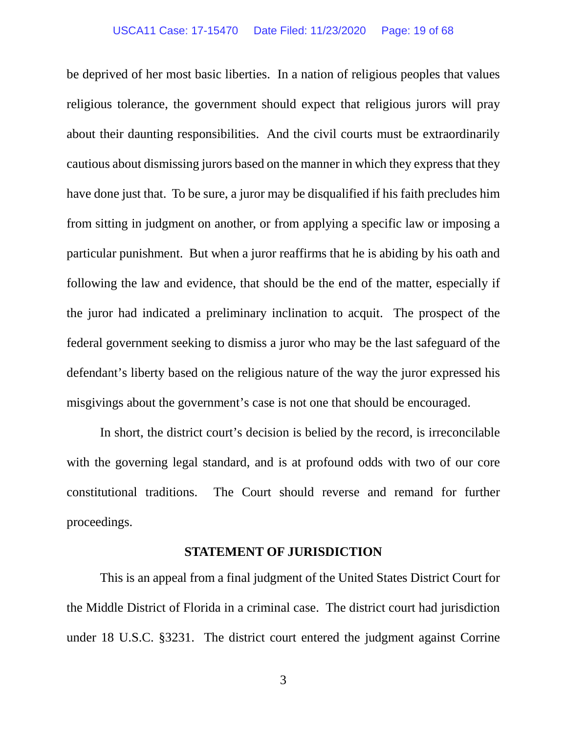### USCA11 Case: 17-15470 Date Filed: 11/23/2020 Page: 19 of 68

be deprived of her most basic liberties. In a nation of religious peoples that values religious tolerance, the government should expect that religious jurors will pray about their daunting responsibilities. And the civil courts must be extraordinarily cautious about dismissing jurors based on the manner in which they express that they have done just that. To be sure, a juror may be disqualified if his faith precludes him from sitting in judgment on another, or from applying a specific law or imposing a particular punishment. But when a juror reaffirms that he is abiding by his oath and following the law and evidence, that should be the end of the matter, especially if the juror had indicated a preliminary inclination to acquit. The prospect of the federal government seeking to dismiss a juror who may be the last safeguard of the defendant's liberty based on the religious nature of the way the juror expressed his misgivings about the government's case is not one that should be encouraged.

In short, the district court's decision is belied by the record, is irreconcilable with the governing legal standard, and is at profound odds with two of our core constitutional traditions. The Court should reverse and remand for further proceedings.

### **STATEMENT OF JURISDICTION**

<span id="page-18-0"></span>This is an appeal from a final judgment of the United States District Court for the Middle District of Florida in a criminal case. The district court had jurisdiction under 18 U.S.C. §3231. The district court entered the judgment against Corrine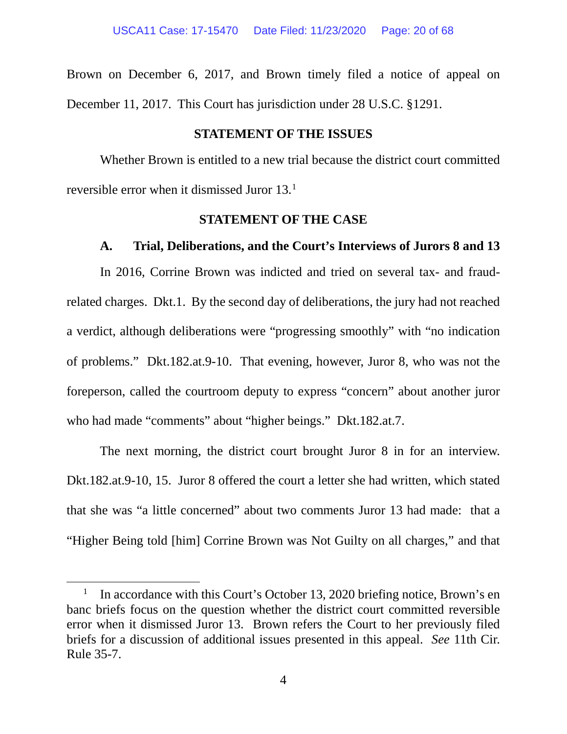Brown on December 6, 2017, and Brown timely filed a notice of appeal on December 11, 2017. This Court has jurisdiction under 28 U.S.C. §1291.

### **STATEMENT OF THE ISSUES**

<span id="page-19-0"></span>Whether Brown is entitled to a new trial because the district court committed reversible error when it dismissed Juror 13[.1](#page-19-3)

### **STATEMENT OF THE CASE**

### <span id="page-19-1"></span>**A. Trial, Deliberations, and the Court's Interviews of Jurors 8 and 13**

<span id="page-19-2"></span>In 2016, Corrine Brown was indicted and tried on several tax- and fraudrelated charges. Dkt.1. By the second day of deliberations, the jury had not reached a verdict, although deliberations were "progressing smoothly" with "no indication of problems." Dkt.182.at.9-10. That evening, however, Juror 8, who was not the foreperson, called the courtroom deputy to express "concern" about another juror who had made "comments" about "higher beings." Dkt.182.at.7.

The next morning, the district court brought Juror 8 in for an interview. Dkt.182.at.9-10, 15. Juror 8 offered the court a letter she had written, which stated that she was "a little concerned" about two comments Juror 13 had made: that a "Higher Being told [him] Corrine Brown was Not Guilty on all charges," and that

 $\overline{a}$ 

<span id="page-19-3"></span>In accordance with this Court's October 13, 2020 briefing notice, Brown's en banc briefs focus on the question whether the district court committed reversible error when it dismissed Juror 13. Brown refers the Court to her previously filed briefs for a discussion of additional issues presented in this appeal. *See* 11th Cir. Rule 35-7.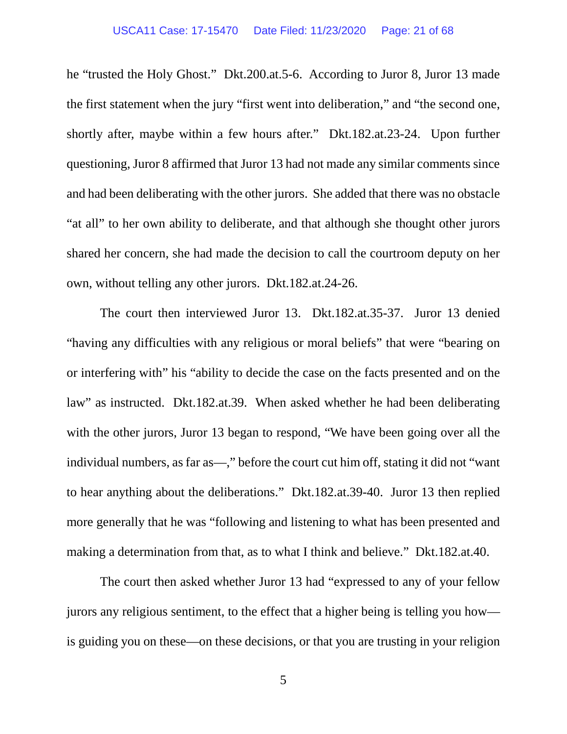he "trusted the Holy Ghost." Dkt.200.at.5-6. According to Juror 8, Juror 13 made the first statement when the jury "first went into deliberation," and "the second one, shortly after, maybe within a few hours after." Dkt.182.at.23-24. Upon further questioning, Juror 8 affirmed that Juror 13 had not made any similar comments since and had been deliberating with the other jurors. She added that there was no obstacle "at all" to her own ability to deliberate, and that although she thought other jurors shared her concern, she had made the decision to call the courtroom deputy on her own, without telling any other jurors. Dkt.182.at.24-26.

The court then interviewed Juror 13. Dkt.182.at.35-37. Juror 13 denied "having any difficulties with any religious or moral beliefs" that were "bearing on or interfering with" his "ability to decide the case on the facts presented and on the law" as instructed. Dkt.182.at.39. When asked whether he had been deliberating with the other jurors, Juror 13 began to respond, "We have been going over all the individual numbers, as far as—," before the court cut him off, stating it did not "want to hear anything about the deliberations." Dkt.182.at.39-40. Juror 13 then replied more generally that he was "following and listening to what has been presented and making a determination from that, as to what I think and believe." Dkt.182.at.40.

The court then asked whether Juror 13 had "expressed to any of your fellow jurors any religious sentiment, to the effect that a higher being is telling you how is guiding you on these—on these decisions, or that you are trusting in your religion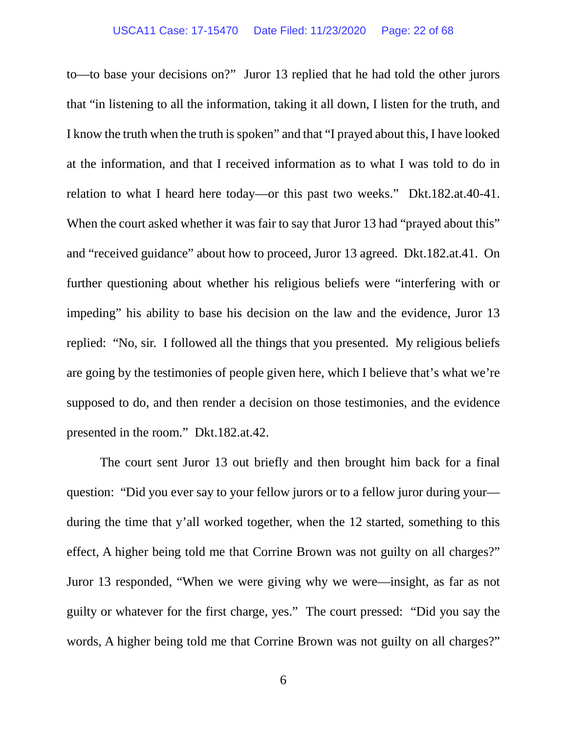to—to base your decisions on?" Juror 13 replied that he had told the other jurors that "in listening to all the information, taking it all down, I listen for the truth, and I know the truth when the truth is spoken" and that "I prayed about this, I have looked at the information, and that I received information as to what I was told to do in relation to what I heard here today—or this past two weeks." Dkt.182.at.40-41. When the court asked whether it was fair to say that Juror 13 had "prayed about this" and "received guidance" about how to proceed, Juror 13 agreed. Dkt.182.at.41. On further questioning about whether his religious beliefs were "interfering with or impeding" his ability to base his decision on the law and the evidence, Juror 13 replied: "No, sir. I followed all the things that you presented. My religious beliefs are going by the testimonies of people given here, which I believe that's what we're supposed to do, and then render a decision on those testimonies, and the evidence presented in the room." Dkt.182.at.42.

The court sent Juror 13 out briefly and then brought him back for a final question: "Did you ever say to your fellow jurors or to a fellow juror during your during the time that y'all worked together, when the 12 started, something to this effect, A higher being told me that Corrine Brown was not guilty on all charges?" Juror 13 responded, "When we were giving why we were—insight, as far as not guilty or whatever for the first charge, yes." The court pressed: "Did you say the words, A higher being told me that Corrine Brown was not guilty on all charges?"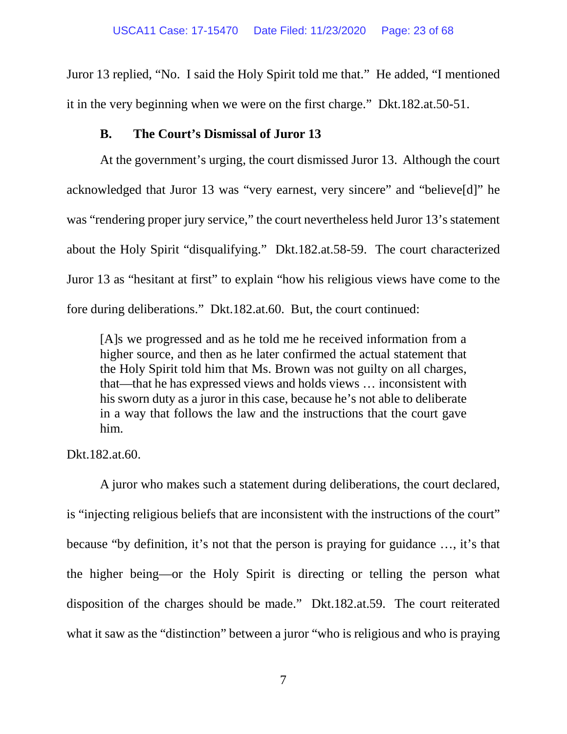Juror 13 replied, "No. I said the Holy Spirit told me that." He added, "I mentioned it in the very beginning when we were on the first charge." Dkt.182.at.50-51.

## **B. The Court's Dismissal of Juror 13**

<span id="page-22-0"></span>At the government's urging, the court dismissed Juror 13. Although the court acknowledged that Juror 13 was "very earnest, very sincere" and "believe[d]" he was "rendering proper jury service," the court nevertheless held Juror 13's statement about the Holy Spirit "disqualifying." Dkt.182.at.58-59. The court characterized Juror 13 as "hesitant at first" to explain "how his religious views have come to the fore during deliberations." Dkt.182.at.60. But, the court continued:

[A]s we progressed and as he told me he received information from a higher source, and then as he later confirmed the actual statement that the Holy Spirit told him that Ms. Brown was not guilty on all charges, that—that he has expressed views and holds views … inconsistent with his sworn duty as a juror in this case, because he's not able to deliberate in a way that follows the law and the instructions that the court gave him.

Dkt.182.at.60.

A juror who makes such a statement during deliberations, the court declared, is "injecting religious beliefs that are inconsistent with the instructions of the court" because "by definition, it's not that the person is praying for guidance …, it's that the higher being—or the Holy Spirit is directing or telling the person what disposition of the charges should be made." Dkt.182.at.59. The court reiterated what it saw as the "distinction" between a juror "who is religious and who is praying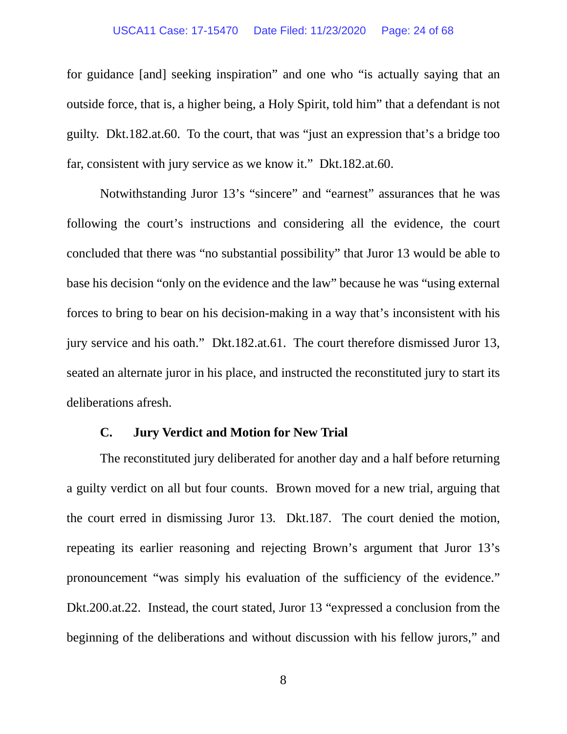### USCA11 Case: 17-15470 Date Filed: 11/23/2020 Page: 24 of 68

for guidance [and] seeking inspiration" and one who "is actually saying that an outside force, that is, a higher being, a Holy Spirit, told him" that a defendant is not guilty. Dkt.182.at.60. To the court, that was "just an expression that's a bridge too far, consistent with jury service as we know it." Dkt.182.at.60.

Notwithstanding Juror 13's "sincere" and "earnest" assurances that he was following the court's instructions and considering all the evidence, the court concluded that there was "no substantial possibility" that Juror 13 would be able to base his decision "only on the evidence and the law" because he was "using external forces to bring to bear on his decision-making in a way that's inconsistent with his jury service and his oath." Dkt.182.at.61. The court therefore dismissed Juror 13, seated an alternate juror in his place, and instructed the reconstituted jury to start its deliberations afresh.

### **C. Jury Verdict and Motion for New Trial**

<span id="page-23-0"></span>The reconstituted jury deliberated for another day and a half before returning a guilty verdict on all but four counts. Brown moved for a new trial, arguing that the court erred in dismissing Juror 13. Dkt.187. The court denied the motion, repeating its earlier reasoning and rejecting Brown's argument that Juror 13's pronouncement "was simply his evaluation of the sufficiency of the evidence." Dkt.200.at.22. Instead, the court stated, Juror 13 "expressed a conclusion from the beginning of the deliberations and without discussion with his fellow jurors," and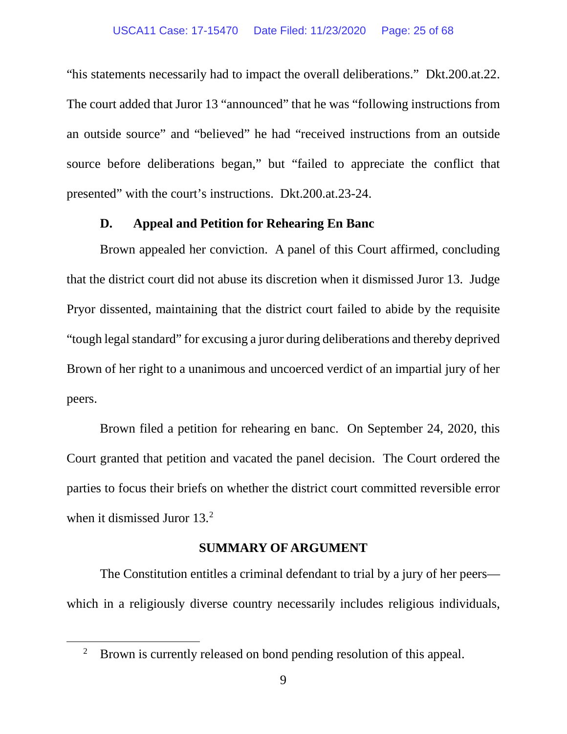"his statements necessarily had to impact the overall deliberations." Dkt.200.at.22. The court added that Juror 13 "announced" that he was "following instructions from an outside source" and "believed" he had "received instructions from an outside source before deliberations began," but "failed to appreciate the conflict that presented" with the court's instructions. Dkt.200.at.23-24.

### **D. Appeal and Petition for Rehearing En Banc**

<span id="page-24-0"></span>Brown appealed her conviction. A panel of this Court affirmed, concluding that the district court did not abuse its discretion when it dismissed Juror 13. Judge Pryor dissented, maintaining that the district court failed to abide by the requisite "tough legal standard" for excusing a juror during deliberations and thereby deprived Brown of her right to a unanimous and uncoerced verdict of an impartial jury of her peers.

Brown filed a petition for rehearing en banc. On September 24, 2020, this Court granted that petition and vacated the panel decision. The Court ordered the parties to focus their briefs on whether the district court committed reversible error when it dismissed Juror 13.<sup>[2](#page-24-2)</sup>

### **SUMMARY OF ARGUMENT**

<span id="page-24-1"></span>The Constitution entitles a criminal defendant to trial by a jury of her peers which in a religiously diverse country necessarily includes religious individuals,

<span id="page-24-2"></span> $\overline{a}$ 

<sup>&</sup>lt;sup>2</sup> Brown is currently released on bond pending resolution of this appeal.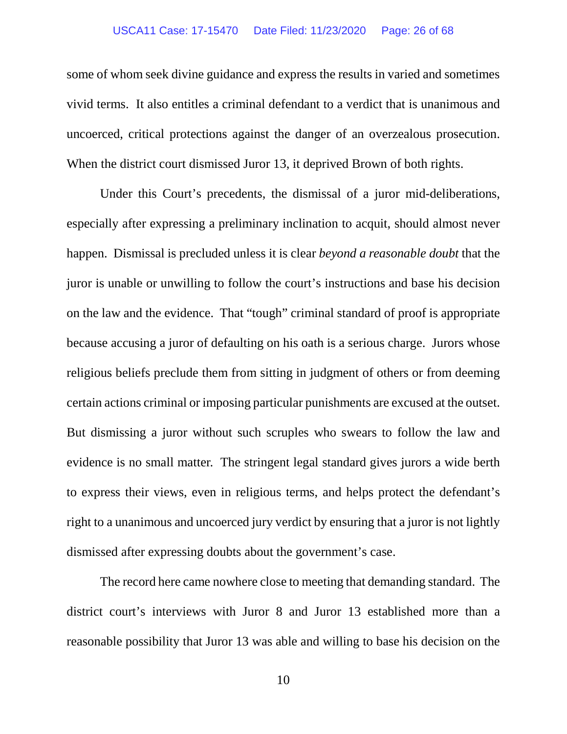### USCA11 Case: 17-15470 Date Filed: 11/23/2020 Page: 26 of 68

some of whom seek divine guidance and express the results in varied and sometimes vivid terms. It also entitles a criminal defendant to a verdict that is unanimous and uncoerced, critical protections against the danger of an overzealous prosecution. When the district court dismissed Juror 13, it deprived Brown of both rights.

Under this Court's precedents, the dismissal of a juror mid-deliberations, especially after expressing a preliminary inclination to acquit, should almost never happen. Dismissal is precluded unless it is clear *beyond a reasonable doubt* that the juror is unable or unwilling to follow the court's instructions and base his decision on the law and the evidence. That "tough" criminal standard of proof is appropriate because accusing a juror of defaulting on his oath is a serious charge. Jurors whose religious beliefs preclude them from sitting in judgment of others or from deeming certain actions criminal or imposing particular punishments are excused at the outset. But dismissing a juror without such scruples who swears to follow the law and evidence is no small matter. The stringent legal standard gives jurors a wide berth to express their views, even in religious terms, and helps protect the defendant's right to a unanimous and uncoerced jury verdict by ensuring that a juror is not lightly dismissed after expressing doubts about the government's case.

The record here came nowhere close to meeting that demanding standard. The district court's interviews with Juror 8 and Juror 13 established more than a reasonable possibility that Juror 13 was able and willing to base his decision on the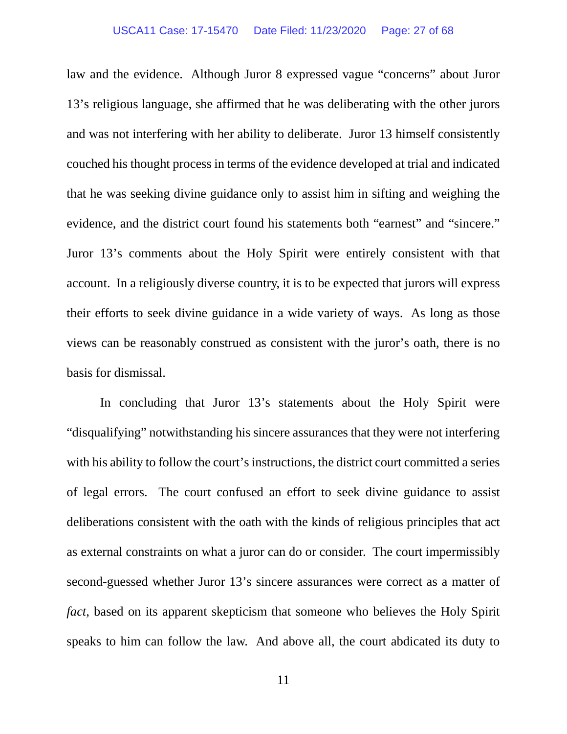### USCA11 Case: 17-15470 Date Filed: 11/23/2020 Page: 27 of 68

law and the evidence. Although Juror 8 expressed vague "concerns" about Juror 13's religious language, she affirmed that he was deliberating with the other jurors and was not interfering with her ability to deliberate. Juror 13 himself consistently couched his thought process in terms of the evidence developed at trial and indicated that he was seeking divine guidance only to assist him in sifting and weighing the evidence, and the district court found his statements both "earnest" and "sincere." Juror 13's comments about the Holy Spirit were entirely consistent with that account. In a religiously diverse country, it is to be expected that jurors will express their efforts to seek divine guidance in a wide variety of ways. As long as those views can be reasonably construed as consistent with the juror's oath, there is no basis for dismissal.

In concluding that Juror 13's statements about the Holy Spirit were "disqualifying" notwithstanding his sincere assurances that they were not interfering with his ability to follow the court's instructions, the district court committed a series of legal errors. The court confused an effort to seek divine guidance to assist deliberations consistent with the oath with the kinds of religious principles that act as external constraints on what a juror can do or consider. The court impermissibly second-guessed whether Juror 13's sincere assurances were correct as a matter of *fact*, based on its apparent skepticism that someone who believes the Holy Spirit speaks to him can follow the law. And above all, the court abdicated its duty to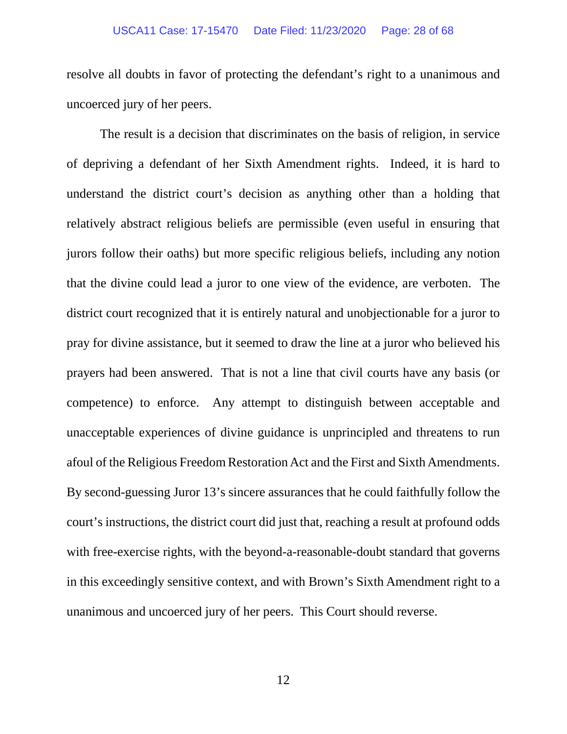### USCA11 Case: 17-15470 Date Filed: 11/23/2020 Page: 28 of 68

resolve all doubts in favor of protecting the defendant's right to a unanimous and uncoerced jury of her peers.

The result is a decision that discriminates on the basis of religion, in service of depriving a defendant of her Sixth Amendment rights. Indeed, it is hard to understand the district court's decision as anything other than a holding that relatively abstract religious beliefs are permissible (even useful in ensuring that jurors follow their oaths) but more specific religious beliefs, including any notion that the divine could lead a juror to one view of the evidence, are verboten. The district court recognized that it is entirely natural and unobjectionable for a juror to pray for divine assistance, but it seemed to draw the line at a juror who believed his prayers had been answered. That is not a line that civil courts have any basis (or competence) to enforce. Any attempt to distinguish between acceptable and unacceptable experiences of divine guidance is unprincipled and threatens to run afoul of the Religious Freedom Restoration Act and the First and Sixth Amendments. By second-guessing Juror 13's sincere assurances that he could faithfully follow the court's instructions, the district court did just that, reaching a result at profound odds with free-exercise rights, with the beyond-a-reasonable-doubt standard that governs in this exceedingly sensitive context, and with Brown's Sixth Amendment right to a unanimous and uncoerced jury of her peers. This Court should reverse.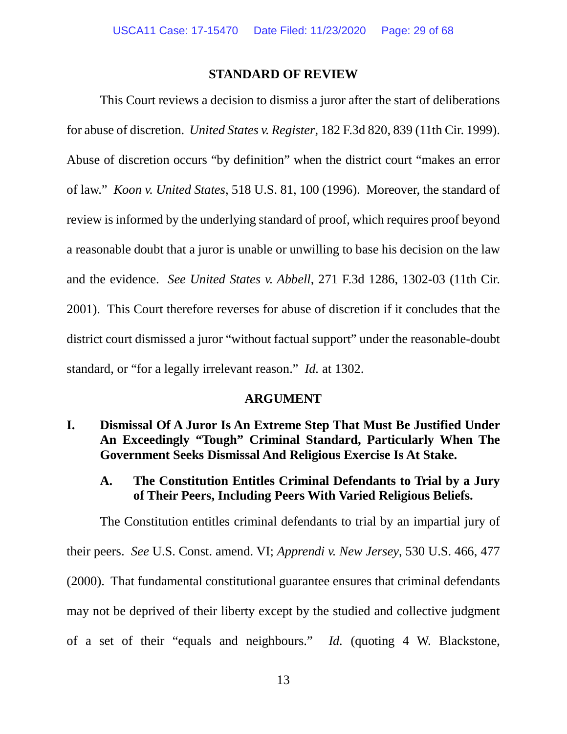### **STANDARD OF REVIEW**

<span id="page-28-0"></span>This Court reviews a decision to dismiss a juror after the start of deliberations for abuse of discretion. *United States v. Register*, 182 F.3d 820, 839 (11th Cir. 1999). Abuse of discretion occurs "by definition" when the district court "makes an error of law." *Koon v. United States*, 518 U.S. 81, 100 (1996). Moreover, the standard of review is informed by the underlying standard of proof, which requires proof beyond a reasonable doubt that a juror is unable or unwilling to base his decision on the law and the evidence. *See United States v. Abbell*, 271 F.3d 1286, 1302-03 (11th Cir. 2001). This Court therefore reverses for abuse of discretion if it concludes that the district court dismissed a juror "without factual support" under the reasonable-doubt standard, or "for a legally irrelevant reason." *Id.* at 1302.

### **ARGUMENT**

<span id="page-28-2"></span><span id="page-28-1"></span>**I. Dismissal Of A Juror Is An Extreme Step That Must Be Justified Under An Exceedingly "Tough" Criminal Standard, Particularly When The Government Seeks Dismissal And Religious Exercise Is At Stake.** 

## <span id="page-28-3"></span>**A. The Constitution Entitles Criminal Defendants to Trial by a Jury of Their Peers, Including Peers With Varied Religious Beliefs.**

The Constitution entitles criminal defendants to trial by an impartial jury of their peers. *See* U.S. Const. amend. VI; *Apprendi v. New Jersey*, 530 U.S. 466, 477 (2000). That fundamental constitutional guarantee ensures that criminal defendants may not be deprived of their liberty except by the studied and collective judgment of a set of their "equals and neighbours." *Id.* (quoting 4 W. Blackstone,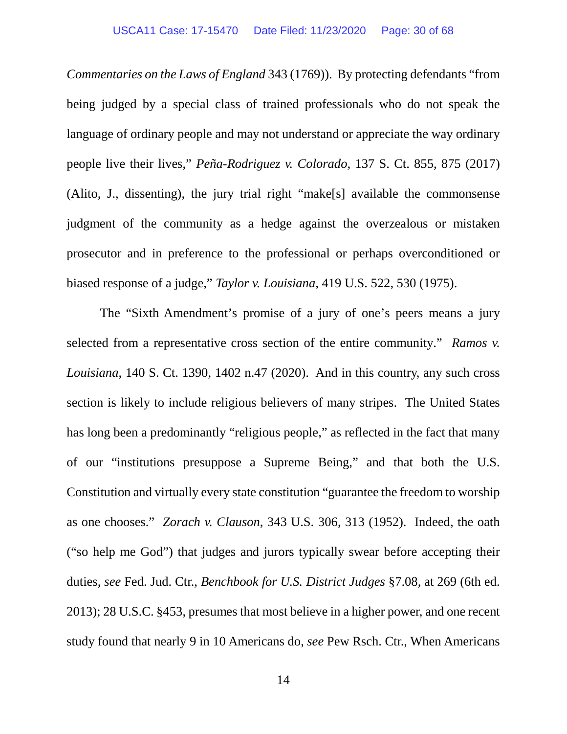*Commentaries on the Laws of England* 343 (1769)). By protecting defendants "from being judged by a special class of trained professionals who do not speak the language of ordinary people and may not understand or appreciate the way ordinary people live their lives," *Peña-Rodriguez v. Colorado*, 137 S. Ct. 855, 875 (2017) (Alito, J., dissenting), the jury trial right "make[s] available the commonsense judgment of the community as a hedge against the overzealous or mistaken prosecutor and in preference to the professional or perhaps overconditioned or biased response of a judge," *Taylor v. Louisiana*, 419 U.S. 522, 530 (1975).

The "Sixth Amendment's promise of a jury of one's peers means a jury selected from a representative cross section of the entire community." *Ramos v. Louisiana*, 140 S. Ct. 1390, 1402 n.47 (2020). And in this country, any such cross section is likely to include religious believers of many stripes. The United States has long been a predominantly "religious people," as reflected in the fact that many of our "institutions presuppose a Supreme Being," and that both the U.S. Constitution and virtually every state constitution "guarantee the freedom to worship as one chooses." *Zorach v. Clauson*, 343 U.S. 306, 313 (1952). Indeed, the oath ("so help me God") that judges and jurors typically swear before accepting their duties, *see* Fed. Jud. Ctr., *Benchbook for U.S. District Judges* §7.08, at 269 (6th ed. 2013); 28 U.S.C. §453, presumes that most believe in a higher power, and one recent study found that nearly 9 in 10 Americans do, *see* Pew Rsch. Ctr., When Americans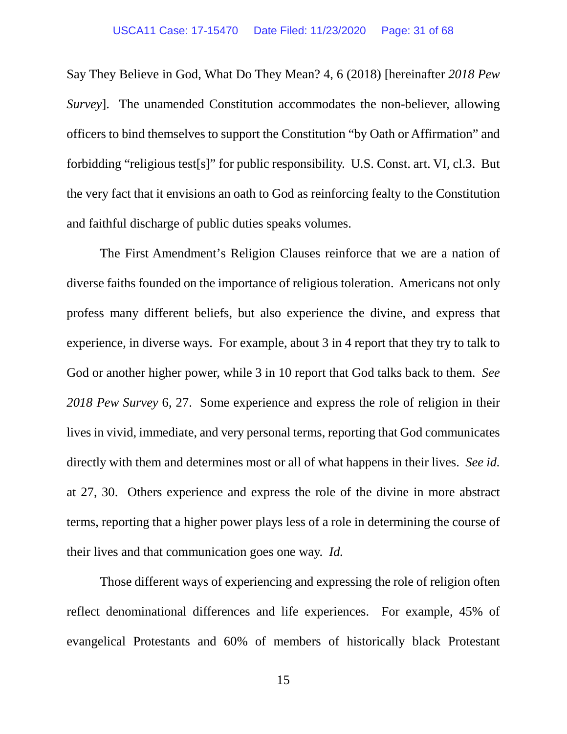Say They Believe in God, What Do They Mean? 4, 6 (2018) [hereinafter *2018 Pew Survey*]. The unamended Constitution accommodates the non-believer, allowing officers to bind themselves to support the Constitution "by Oath or Affirmation" and forbidding "religious test[s]" for public responsibility. U.S. Const. art. VI, cl.3. But the very fact that it envisions an oath to God as reinforcing fealty to the Constitution and faithful discharge of public duties speaks volumes.

The First Amendment's Religion Clauses reinforce that we are a nation of diverse faiths founded on the importance of religious toleration. Americans not only profess many different beliefs, but also experience the divine, and express that experience, in diverse ways. For example, about 3 in 4 report that they try to talk to God or another higher power, while 3 in 10 report that God talks back to them. *See 2018 Pew Survey* 6, 27. Some experience and express the role of religion in their lives in vivid, immediate, and very personal terms, reporting that God communicates directly with them and determines most or all of what happens in their lives. *See id.*  at 27, 30. Others experience and express the role of the divine in more abstract terms, reporting that a higher power plays less of a role in determining the course of their lives and that communication goes one way. *Id.*

Those different ways of experiencing and expressing the role of religion often reflect denominational differences and life experiences. For example, 45% of evangelical Protestants and 60% of members of historically black Protestant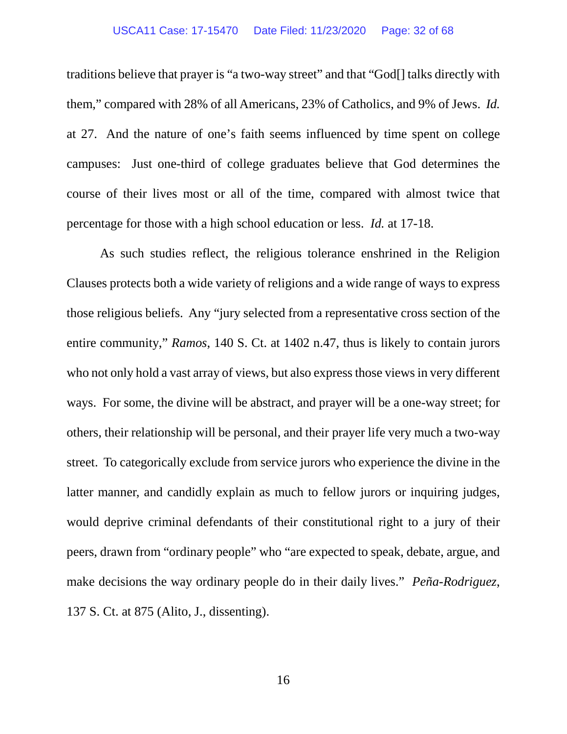### USCA11 Case: 17-15470 Date Filed: 11/23/2020 Page: 32 of 68

traditions believe that prayer is "a two-way street" and that "God[] talks directly with them," compared with 28% of all Americans, 23% of Catholics, and 9% of Jews. *Id.* at 27. And the nature of one's faith seems influenced by time spent on college campuses: Just one-third of college graduates believe that God determines the course of their lives most or all of the time, compared with almost twice that percentage for those with a high school education or less. *Id.* at 17-18.

As such studies reflect, the religious tolerance enshrined in the Religion Clauses protects both a wide variety of religions and a wide range of ways to express those religious beliefs. Any "jury selected from a representative cross section of the entire community," *Ramos*, 140 S. Ct. at 1402 n.47, thus is likely to contain jurors who not only hold a vast array of views, but also express those views in very different ways. For some, the divine will be abstract, and prayer will be a one-way street; for others, their relationship will be personal, and their prayer life very much a two-way street. To categorically exclude from service jurors who experience the divine in the latter manner, and candidly explain as much to fellow jurors or inquiring judges, would deprive criminal defendants of their constitutional right to a jury of their peers, drawn from "ordinary people" who "are expected to speak, debate, argue, and make decisions the way ordinary people do in their daily lives." *Peña-Rodriguez*, 137 S. Ct. at 875 (Alito, J., dissenting).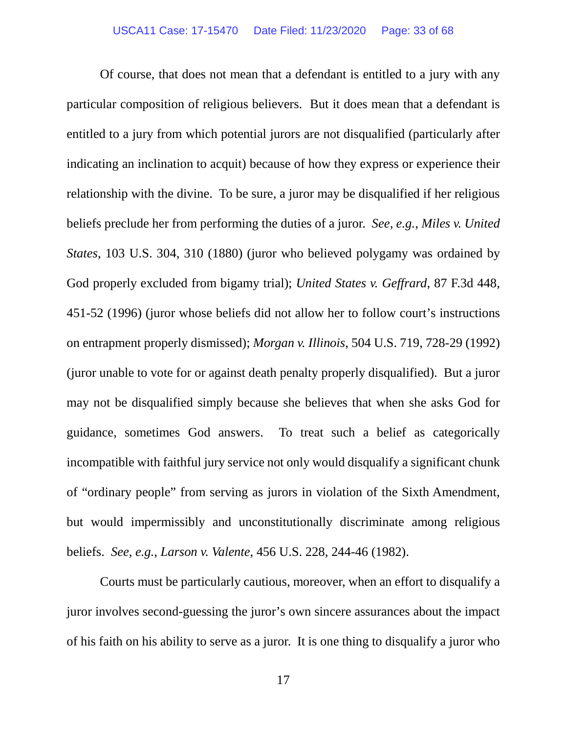Of course, that does not mean that a defendant is entitled to a jury with any particular composition of religious believers. But it does mean that a defendant is entitled to a jury from which potential jurors are not disqualified (particularly after indicating an inclination to acquit) because of how they express or experience their relationship with the divine. To be sure, a juror may be disqualified if her religious beliefs preclude her from performing the duties of a juror. *See, e.g.*, *Miles v. United States*, 103 U.S. 304, 310 (1880) (juror who believed polygamy was ordained by God properly excluded from bigamy trial); *United States v. Geffrard*, 87 F.3d 448, 451-52 (1996) (juror whose beliefs did not allow her to follow court's instructions on entrapment properly dismissed); *Morgan v. Illinois*, 504 U.S. 719, 728-29 (1992) (juror unable to vote for or against death penalty properly disqualified). But a juror may not be disqualified simply because she believes that when she asks God for guidance, sometimes God answers. To treat such a belief as categorically incompatible with faithful jury service not only would disqualify a significant chunk of "ordinary people" from serving as jurors in violation of the Sixth Amendment, but would impermissibly and unconstitutionally discriminate among religious beliefs. *See, e.g.*, *Larson v. Valente*, 456 U.S. 228, 244-46 (1982).

Courts must be particularly cautious, moreover, when an effort to disqualify a juror involves second-guessing the juror's own sincere assurances about the impact of his faith on his ability to serve as a juror. It is one thing to disqualify a juror who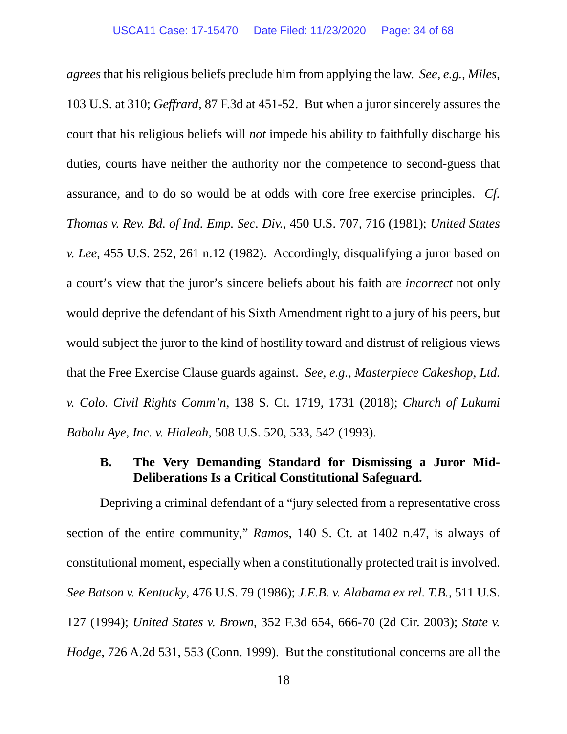*agrees* that his religious beliefs preclude him from applying the law. *See, e.g.*, *Miles*, 103 U.S. at 310; *Geffrard*, 87 F.3d at 451-52. But when a juror sincerely assures the court that his religious beliefs will *not* impede his ability to faithfully discharge his duties, courts have neither the authority nor the competence to second-guess that assurance, and to do so would be at odds with core free exercise principles. *Cf. Thomas v. Rev. Bd. of Ind. Emp. Sec. Div.*, 450 U.S. 707, 716 (1981); *United States v. Lee*, 455 U.S. 252, 261 n.12 (1982). Accordingly, disqualifying a juror based on a court's view that the juror's sincere beliefs about his faith are *incorrect* not only would deprive the defendant of his Sixth Amendment right to a jury of his peers, but would subject the juror to the kind of hostility toward and distrust of religious views that the Free Exercise Clause guards against. *See, e.g.*, *Masterpiece Cakeshop, Ltd. v. Colo. Civil Rights Comm'n*, 138 S. Ct. 1719, 1731 (2018); *Church of Lukumi Babalu Aye, Inc. v. Hialeah*, 508 U.S. 520, 533, 542 (1993).

# <span id="page-33-0"></span>**B. The Very Demanding Standard for Dismissing a Juror Mid-Deliberations Is a Critical Constitutional Safeguard.**

Depriving a criminal defendant of a "jury selected from a representative cross section of the entire community," *Ramos*, 140 S. Ct. at 1402 n.47, is always of constitutional moment, especially when a constitutionally protected trait is involved. *See Batson v. Kentucky*, 476 U.S. 79 (1986); *J.E.B. v. Alabama ex rel. T.B.*, 511 U.S. 127 (1994); *United States v. Brown*, 352 F.3d 654, 666-70 (2d Cir. 2003); *State v. Hodge*, 726 A.2d 531, 553 (Conn. 1999). But the constitutional concerns are all the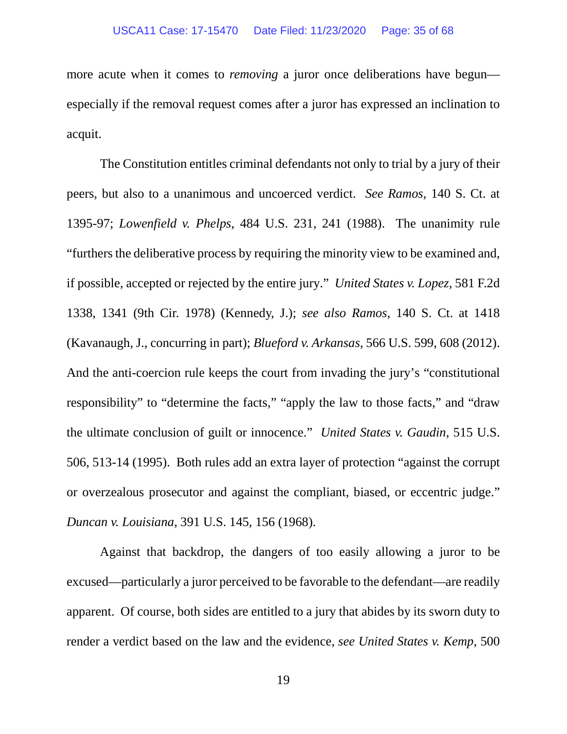more acute when it comes to *removing* a juror once deliberations have begun especially if the removal request comes after a juror has expressed an inclination to acquit.

The Constitution entitles criminal defendants not only to trial by a jury of their peers, but also to a unanimous and uncoerced verdict. *See Ramos*, 140 S. Ct. at 1395-97; *Lowenfield v. Phelps*, 484 U.S. 231, 241 (1988). The unanimity rule "furthers the deliberative process by requiring the minority view to be examined and, if possible, accepted or rejected by the entire jury." *United States v. Lopez*, 581 F.2d 1338, 1341 (9th Cir. 1978) (Kennedy, J.); *see also Ramos*, 140 S. Ct. at 1418 (Kavanaugh, J., concurring in part); *Blueford v. Arkansas*, 566 U.S. 599, 608 (2012). And the anti-coercion rule keeps the court from invading the jury's "constitutional responsibility" to "determine the facts," "apply the law to those facts," and "draw the ultimate conclusion of guilt or innocence." *United States v. Gaudin*, 515 U.S. 506, 513-14 (1995). Both rules add an extra layer of protection "against the corrupt or overzealous prosecutor and against the compliant, biased, or eccentric judge." *Duncan v. Louisiana*, 391 U.S. 145, 156 (1968).

Against that backdrop, the dangers of too easily allowing a juror to be excused—particularly a juror perceived to be favorable to the defendant—are readily apparent. Of course, both sides are entitled to a jury that abides by its sworn duty to render a verdict based on the law and the evidence, *see United States v. Kemp*, 500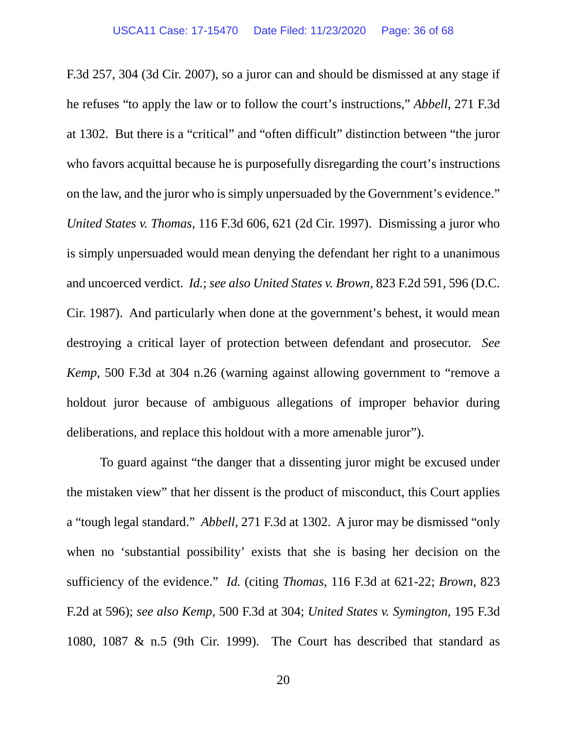F.3d 257, 304 (3d Cir. 2007), so a juror can and should be dismissed at any stage if he refuses "to apply the law or to follow the court's instructions," *Abbell*, 271 F.3d at 1302. But there is a "critical" and "often difficult" distinction between "the juror who favors acquittal because he is purposefully disregarding the court's instructions on the law, and the juror who is simply unpersuaded by the Government's evidence." *United States v. Thomas*, 116 F.3d 606, 621 (2d Cir. 1997). Dismissing a juror who is simply unpersuaded would mean denying the defendant her right to a unanimous and uncoerced verdict. *Id.*; *see also United States v. Brown*, 823 F.2d 591, 596 (D.C. Cir. 1987). And particularly when done at the government's behest, it would mean destroying a critical layer of protection between defendant and prosecutor. *See Kemp*, 500 F.3d at 304 n.26 (warning against allowing government to "remove a holdout juror because of ambiguous allegations of improper behavior during deliberations, and replace this holdout with a more amenable juror").

To guard against "the danger that a dissenting juror might be excused under the mistaken view" that her dissent is the product of misconduct, this Court applies a "tough legal standard." *Abbell*, 271 F.3d at 1302. A juror may be dismissed "only when no 'substantial possibility' exists that she is basing her decision on the sufficiency of the evidence." *Id.* (citing *Thomas*, 116 F.3d at 621-22; *[Brown](https://1.next.westlaw.com/Link/Document/FullText?findType=Y&serNum=1987087507&pubNum=0000350&originatingDoc=Icc2826a679c211d9bf29e2067ad74e5b&refType=RP&fi=co_pp_sp_350_596&originationContext=document&transitionType=DocumentItem&contextData=(sc.UserEnteredCitation)#co_pp_sp_350_596)*, 823 [F.2d at 596\)](https://1.next.westlaw.com/Link/Document/FullText?findType=Y&serNum=1987087507&pubNum=0000350&originatingDoc=Icc2826a679c211d9bf29e2067ad74e5b&refType=RP&fi=co_pp_sp_350_596&originationContext=document&transitionType=DocumentItem&contextData=(sc.UserEnteredCitation)#co_pp_sp_350_596); *see also Kemp*, 500 F.3d at 304; *United States v. Symington*, 195 F.3d 1080, 1087 & n.5 (9th Cir. 1999). The Court has described that standard as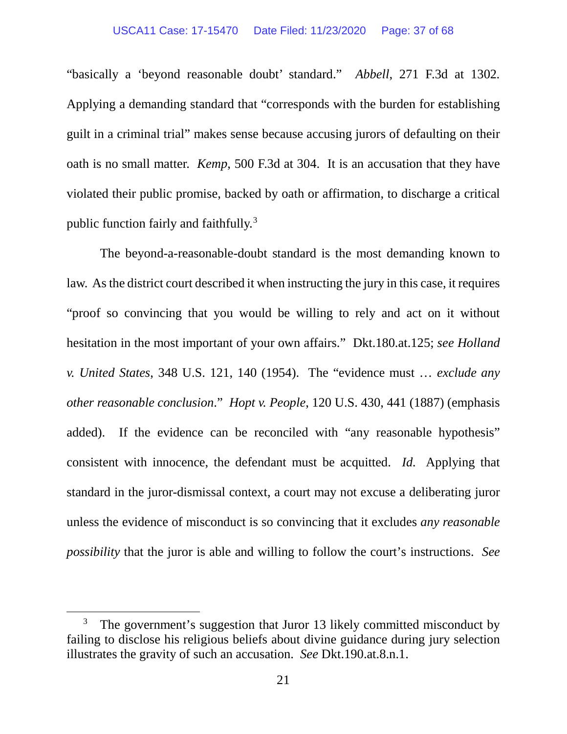### USCA11 Case: 17-15470 Date Filed: 11/23/2020 Page: 37 of 68

"basically a 'beyond reasonable doubt' standard." *Abbell*, 271 F.3d at 1302*.* Applying a demanding standard that "corresponds with the burden for establishing guilt in a criminal trial" makes sense because accusing jurors of defaulting on their oath is no small matter. *Kemp*, 500 F.3d at 304. It is an accusation that they have violated their public promise, backed by oath or affirmation, to discharge a critical public function fairly and faithfully. [3](#page-40-1)

The beyond-a-reasonable-doubt standard is the most demanding known to law. As the district court described it when instructing the jury in this case, it requires "proof so convincing that you would be willing to rely and act on it without hesitation in the most important of your own affairs." Dkt.180.at.125; *see Holland v. United States*, 348 U.S. 121, 140 (1954). The "evidence must … *exclude any other reasonable conclusion*." *Hopt v. People*, 120 U.S. 430, 441 (1887) (emphasis added). If the evidence can be reconciled with "any reasonable hypothesis" consistent with innocence, the defendant must be acquitted. *Id.* Applying that standard in the juror-dismissal context, a court may not excuse a deliberating juror unless the evidence of misconduct is so convincing that it excludes *any reasonable possibility* that the juror is able and willing to follow the court's instructions. *See* 

 $\overline{a}$ 

<sup>&</sup>lt;sup>3</sup> The government's suggestion that Juror 13 likely committed misconduct by failing to disclose his religious beliefs about divine guidance during jury selection illustrates the gravity of such an accusation. *See* Dkt.190.at.8.n.1.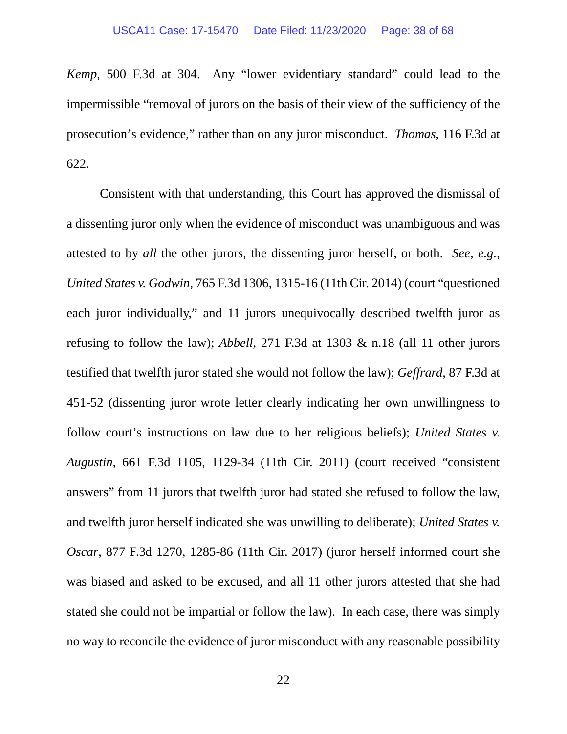*Kemp*, 500 F.3d at 304. Any "lower evidentiary standard" could lead to the impermissible "removal of jurors on the basis of their view of the sufficiency of the prosecution's evidence," rather than on any juror misconduct. *Thomas*, 116 F.3d at 622.

Consistent with that understanding, this Court has approved the dismissal of a dissenting juror only when the evidence of misconduct was unambiguous and was attested to by *all* the other jurors, the dissenting juror herself, or both. *See, e.g.*, *United States v. Godwin*, 765 F.3d 1306, 1315-16 (11th Cir. 2014) (court "questioned each juror individually," and 11 jurors unequivocally described twelfth juror as refusing to follow the law); *Abbell*, 271 F.3d at 1303 & n.18 (all 11 other jurors testified that twelfth juror stated she would not follow the law); *Geffrard*, 87 F.3d at 451-52 (dissenting juror wrote letter clearly indicating her own unwillingness to follow court's instructions on law due to her religious beliefs); *United States v. Augustin*, 661 F.3d 1105, 1129-34 (11th Cir. 2011) (court received "consistent answers" from 11 jurors that twelfth juror had stated she refused to follow the law, and twelfth juror herself indicated she was unwilling to deliberate); *United States v. Oscar*, 877 F.3d 1270, 1285-86 (11th Cir. 2017) (juror herself informed court she was biased and asked to be excused, and all 11 other jurors attested that she had stated she could not be impartial or follow the law). In each case, there was simply no way to reconcile the evidence of juror misconduct with any reasonable possibility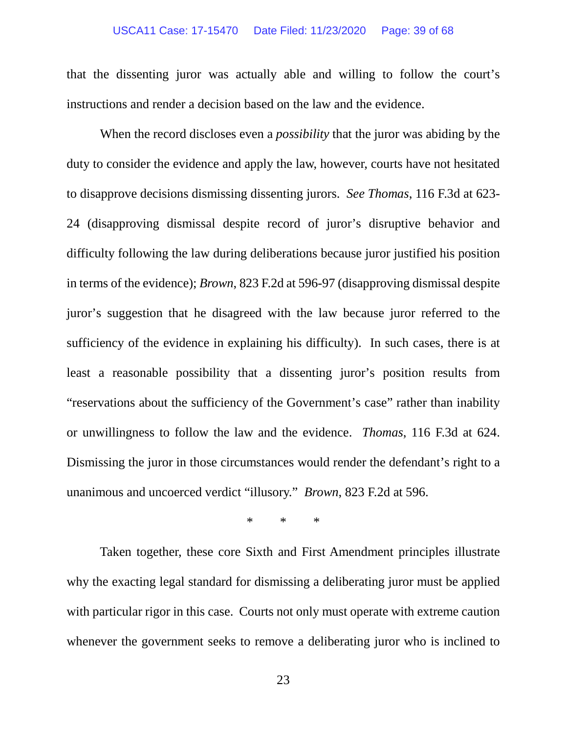### USCA11 Case: 17-15470 Date Filed: 11/23/2020 Page: 39 of 68

that the dissenting juror was actually able and willing to follow the court's instructions and render a decision based on the law and the evidence.

When the record discloses even a *possibility* that the juror was abiding by the duty to consider the evidence and apply the law, however, courts have not hesitated to disapprove decisions dismissing dissenting jurors. *See Thomas*, 116 F.3d at 623- 24 (disapproving dismissal despite record of juror's disruptive behavior and difficulty following the law during deliberations because juror justified his position in terms of the evidence); *Brown*, 823 F.2d at 596-97 (disapproving dismissal despite juror's suggestion that he disagreed with the law because juror referred to the sufficiency of the evidence in explaining his difficulty). In such cases, there is at least a reasonable possibility that a dissenting juror's position results from "reservations about the sufficiency of the Government's case" rather than inability or unwillingness to follow the law and the evidence. *Thomas*, 116 F.3d at 624. Dismissing the juror in those circumstances would render the defendant's right to a unanimous and uncoerced verdict "illusory." *Brown*, 823 F.2d at 596.

\* \* \*

Taken together, these core Sixth and First Amendment principles illustrate why the exacting legal standard for dismissing a deliberating juror must be applied with particular rigor in this case. Courts not only must operate with extreme caution whenever the government seeks to remove a deliberating juror who is inclined to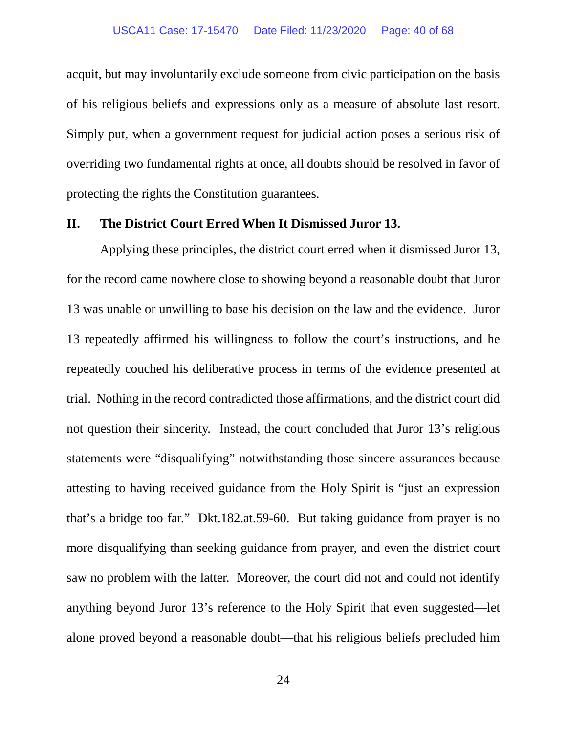acquit, but may involuntarily exclude someone from civic participation on the basis of his religious beliefs and expressions only as a measure of absolute last resort. Simply put, when a government request for judicial action poses a serious risk of overriding two fundamental rights at once, all doubts should be resolved in favor of protecting the rights the Constitution guarantees.

### <span id="page-39-0"></span>**II. The District Court Erred When It Dismissed Juror 13.**

Applying these principles, the district court erred when it dismissed Juror 13, for the record came nowhere close to showing beyond a reasonable doubt that Juror 13 was unable or unwilling to base his decision on the law and the evidence. Juror 13 repeatedly affirmed his willingness to follow the court's instructions, and he repeatedly couched his deliberative process in terms of the evidence presented at trial. Nothing in the record contradicted those affirmations, and the district court did not question their sincerity. Instead, the court concluded that Juror 13's religious statements were "disqualifying" notwithstanding those sincere assurances because attesting to having received guidance from the Holy Spirit is "just an expression that's a bridge too far." Dkt.182.at.59-60. But taking guidance from prayer is no more disqualifying than seeking guidance from prayer, and even the district court saw no problem with the latter. Moreover, the court did not and could not identify anything beyond Juror 13's reference to the Holy Spirit that even suggested—let alone proved beyond a reasonable doubt—that his religious beliefs precluded him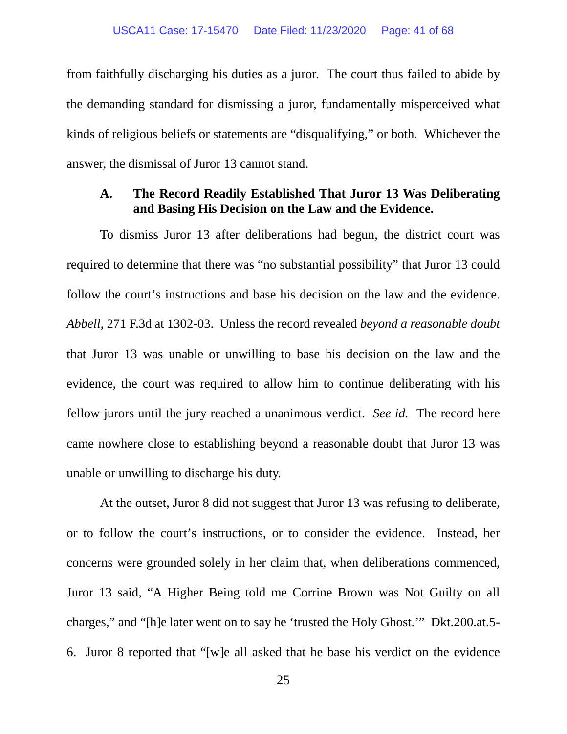from faithfully discharging his duties as a juror. The court thus failed to abide by the demanding standard for dismissing a juror, fundamentally misperceived what kinds of religious beliefs or statements are "disqualifying," or both. Whichever the answer, the dismissal of Juror 13 cannot stand.

### <span id="page-40-0"></span>**A. The Record Readily Established That Juror 13 Was Deliberating and Basing His Decision on the Law and the Evidence.**

To dismiss Juror 13 after deliberations had begun, the district court was required to determine that there was "no substantial possibility" that Juror 13 could follow the court's instructions and base his decision on the law and the evidence. *Abbell*, 271 F.3d at 1302-03. Unless the record revealed *beyond a reasonable doubt*  that Juror 13 was unable or unwilling to base his decision on the law and the evidence, the court was required to allow him to continue deliberating with his fellow jurors until the jury reached a unanimous verdict. *See id.* The record here came nowhere close to establishing beyond a reasonable doubt that Juror 13 was unable or unwilling to discharge his duty.

<span id="page-40-1"></span>At the outset, Juror 8 did not suggest that Juror 13 was refusing to deliberate, or to follow the court's instructions, or to consider the evidence. Instead, her concerns were grounded solely in her claim that, when deliberations commenced, Juror 13 said, "A Higher Being told me Corrine Brown was Not Guilty on all charges," and "[h]e later went on to say he 'trusted the Holy Ghost.'" Dkt.200.at.5- 6. Juror 8 reported that "[w]e all asked that he base his verdict on the evidence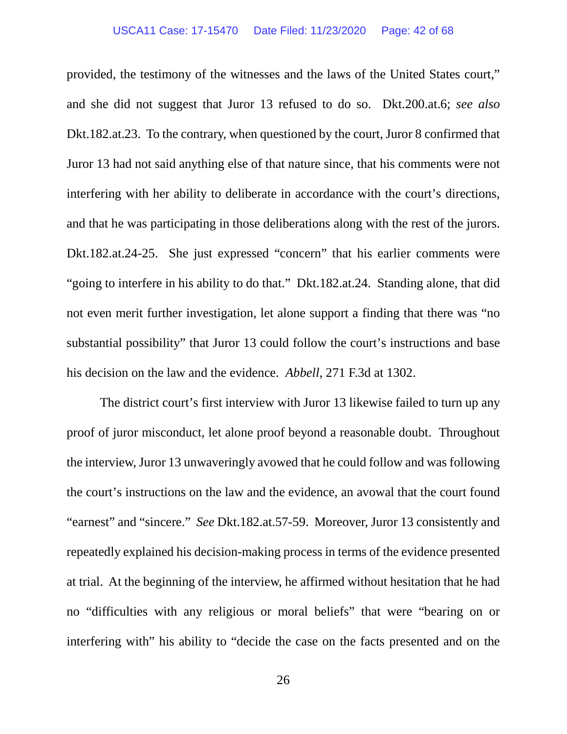### USCA11 Case: 17-15470 Date Filed: 11/23/2020 Page: 42 of 68

provided, the testimony of the witnesses and the laws of the United States court," and she did not suggest that Juror 13 refused to do so. Dkt.200.at.6; *see also*  Dkt.182.at.23. To the contrary, when questioned by the court, Juror 8 confirmed that Juror 13 had not said anything else of that nature since, that his comments were not interfering with her ability to deliberate in accordance with the court's directions, and that he was participating in those deliberations along with the rest of the jurors. Dkt.182.at.24-25. She just expressed "concern" that his earlier comments were "going to interfere in his ability to do that." Dkt.182.at.24. Standing alone, that did not even merit further investigation, let alone support a finding that there was "no substantial possibility" that Juror 13 could follow the court's instructions and base his decision on the law and the evidence. *Abbell*, 271 F.3d at 1302.

The district court's first interview with Juror 13 likewise failed to turn up any proof of juror misconduct, let alone proof beyond a reasonable doubt. Throughout the interview, Juror 13 unwaveringly avowed that he could follow and was following the court's instructions on the law and the evidence, an avowal that the court found "earnest" and "sincere." *See* Dkt.182.at.57-59. Moreover, Juror 13 consistently and repeatedly explained his decision-making process in terms of the evidence presented at trial. At the beginning of the interview, he affirmed without hesitation that he had no "difficulties with any religious or moral beliefs" that were "bearing on or interfering with" his ability to "decide the case on the facts presented and on the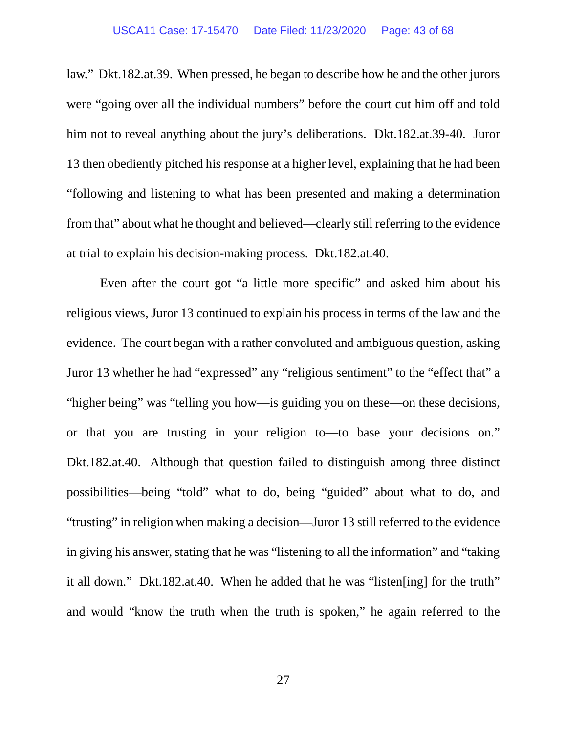### USCA11 Case: 17-15470 Date Filed: 11/23/2020 Page: 43 of 68

law." Dkt.182.at.39. When pressed, he began to describe how he and the other jurors were "going over all the individual numbers" before the court cut him off and told him not to reveal anything about the jury's deliberations. Dkt.182.at.39-40. Juror 13 then obediently pitched his response at a higher level, explaining that he had been "following and listening to what has been presented and making a determination from that" about what he thought and believed—clearly still referring to the evidence at trial to explain his decision-making process. Dkt.182.at.40.

Even after the court got "a little more specific" and asked him about his religious views, Juror 13 continued to explain his process in terms of the law and the evidence. The court began with a rather convoluted and ambiguous question, asking Juror 13 whether he had "expressed" any "religious sentiment" to the "effect that" a "higher being" was "telling you how—is guiding you on these—on these decisions, or that you are trusting in your religion to—to base your decisions on." Dkt.182.at.40. Although that question failed to distinguish among three distinct possibilities—being "told" what to do, being "guided" about what to do, and "trusting" in religion when making a decision—Juror 13 still referred to the evidence in giving his answer, stating that he was "listening to all the information" and "taking it all down." Dkt.182.at.40. When he added that he was "listen[ing] for the truth" and would "know the truth when the truth is spoken," he again referred to the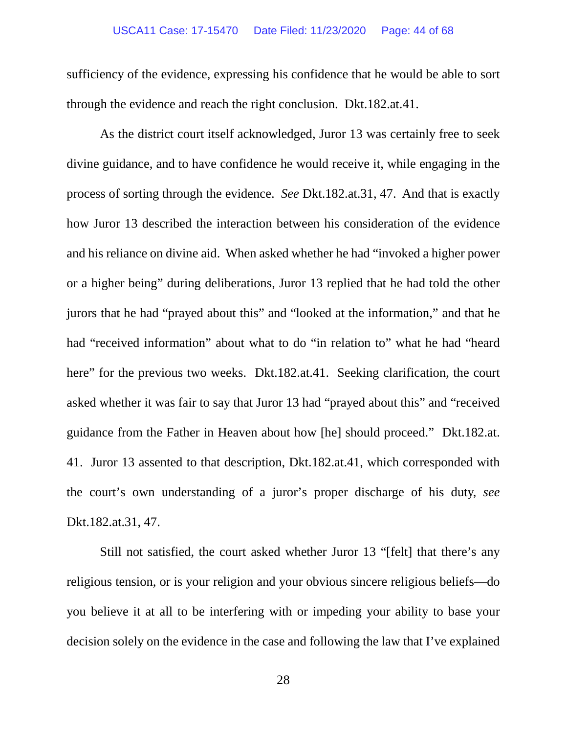### USCA11 Case: 17-15470 Date Filed: 11/23/2020 Page: 44 of 68

sufficiency of the evidence, expressing his confidence that he would be able to sort through the evidence and reach the right conclusion. Dkt.182.at.41.

As the district court itself acknowledged, Juror 13 was certainly free to seek divine guidance, and to have confidence he would receive it, while engaging in the process of sorting through the evidence. *See* Dkt.182.at.31, 47. And that is exactly how Juror 13 described the interaction between his consideration of the evidence and his reliance on divine aid. When asked whether he had "invoked a higher power or a higher being" during deliberations, Juror 13 replied that he had told the other jurors that he had "prayed about this" and "looked at the information," and that he had "received information" about what to do "in relation to" what he had "heard here" for the previous two weeks. Dkt.182.at.41. Seeking clarification, the court asked whether it was fair to say that Juror 13 had "prayed about this" and "received guidance from the Father in Heaven about how [he] should proceed." Dkt.182.at. 41. Juror 13 assented to that description, Dkt.182.at.41, which corresponded with the court's own understanding of a juror's proper discharge of his duty, *see* Dkt.182.at.31, 47.

Still not satisfied, the court asked whether Juror 13 "[felt] that there's any religious tension, or is your religion and your obvious sincere religious beliefs—do you believe it at all to be interfering with or impeding your ability to base your decision solely on the evidence in the case and following the law that I've explained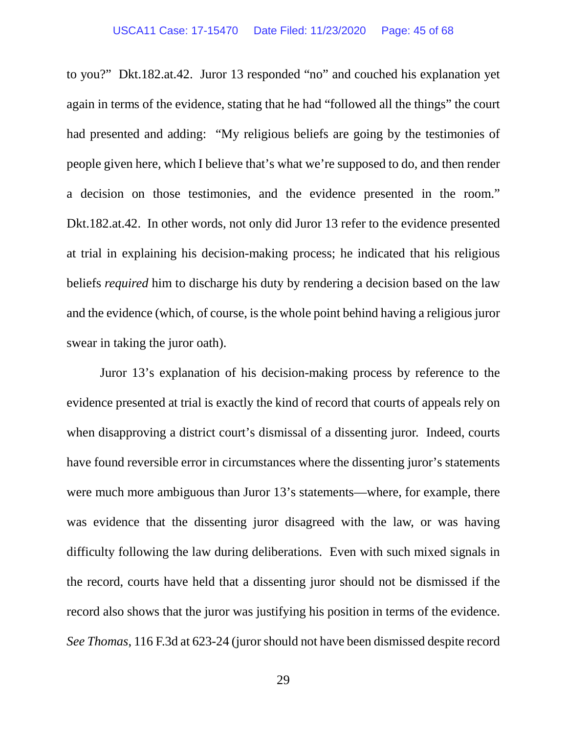to you?" Dkt.182.at.42. Juror 13 responded "no" and couched his explanation yet again in terms of the evidence, stating that he had "followed all the things" the court had presented and adding: "My religious beliefs are going by the testimonies of people given here, which I believe that's what we're supposed to do, and then render a decision on those testimonies, and the evidence presented in the room." Dkt.182.at.42. In other words, not only did Juror 13 refer to the evidence presented at trial in explaining his decision-making process; he indicated that his religious beliefs *required* him to discharge his duty by rendering a decision based on the law and the evidence (which, of course, is the whole point behind having a religious juror swear in taking the juror oath).

Juror 13's explanation of his decision-making process by reference to the evidence presented at trial is exactly the kind of record that courts of appeals rely on when disapproving a district court's dismissal of a dissenting juror. Indeed, courts have found reversible error in circumstances where the dissenting juror's statements were much more ambiguous than Juror 13's statements—where, for example, there was evidence that the dissenting juror disagreed with the law, or was having difficulty following the law during deliberations. Even with such mixed signals in the record, courts have held that a dissenting juror should not be dismissed if the record also shows that the juror was justifying his position in terms of the evidence. *See Thomas*, 116 F.3d at 623-24 (juror should not have been dismissed despite record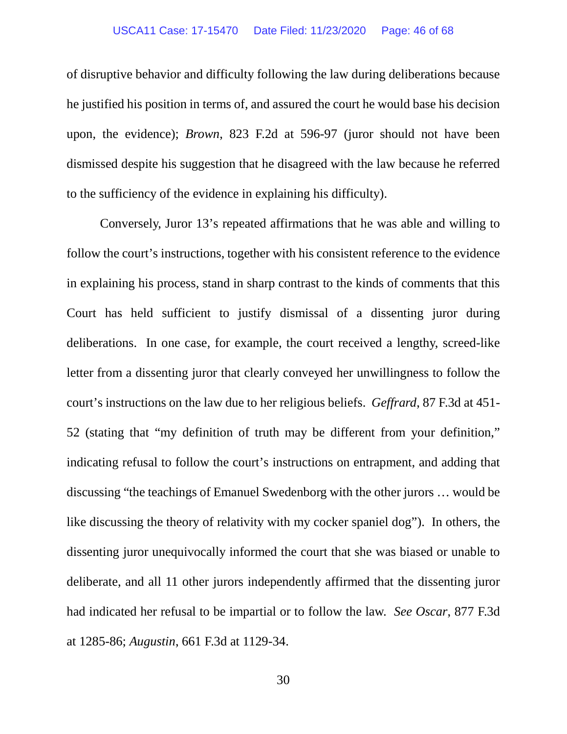of disruptive behavior and difficulty following the law during deliberations because he justified his position in terms of, and assured the court he would base his decision upon, the evidence); *Brown*, 823 F.2d at 596-97 (juror should not have been dismissed despite his suggestion that he disagreed with the law because he referred to the sufficiency of the evidence in explaining his difficulty).

Conversely, Juror 13's repeated affirmations that he was able and willing to follow the court's instructions, together with his consistent reference to the evidence in explaining his process, stand in sharp contrast to the kinds of comments that this Court has held sufficient to justify dismissal of a dissenting juror during deliberations. In one case, for example, the court received a lengthy, screed-like letter from a dissenting juror that clearly conveyed her unwillingness to follow the court's instructions on the law due to her religious beliefs. *Geffrard*, 87 F.3d at 451- 52 (stating that "my definition of truth may be different from your definition," indicating refusal to follow the court's instructions on entrapment, and adding that discussing "the teachings of Emanuel Swedenborg with the other jurors … would be like discussing the theory of relativity with my cocker spaniel dog"). In others, the dissenting juror unequivocally informed the court that she was biased or unable to deliberate, and all 11 other jurors independently affirmed that the dissenting juror had indicated her refusal to be impartial or to follow the law. *See Oscar*, 877 F.3d at 1285-86; *Augustin*, 661 F.3d at 1129-34.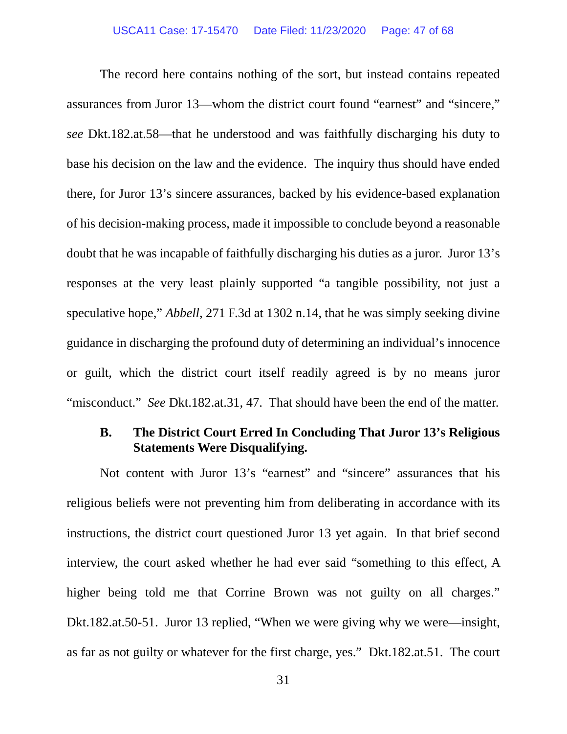The record here contains nothing of the sort, but instead contains repeated assurances from Juror 13—whom the district court found "earnest" and "sincere," *see* Dkt.182.at.58—that he understood and was faithfully discharging his duty to base his decision on the law and the evidence. The inquiry thus should have ended there, for Juror 13's sincere assurances, backed by his evidence-based explanation of his decision-making process, made it impossible to conclude beyond a reasonable doubt that he was incapable of faithfully discharging his duties as a juror. Juror 13's responses at the very least plainly supported "a tangible possibility, not just a speculative hope," *Abbell*, 271 F.3d at 1302 n.14, that he was simply seeking divine guidance in discharging the profound duty of determining an individual's innocence or guilt, which the district court itself readily agreed is by no means juror "misconduct." *See* Dkt.182.at.31, 47. That should have been the end of the matter.

# <span id="page-46-0"></span>**B. The District Court Erred In Concluding That Juror 13's Religious Statements Were Disqualifying.**

Not content with Juror 13's "earnest" and "sincere" assurances that his religious beliefs were not preventing him from deliberating in accordance with its instructions, the district court questioned Juror 13 yet again. In that brief second interview, the court asked whether he had ever said "something to this effect, A higher being told me that Corrine Brown was not guilty on all charges." Dkt.182.at.50-51. Juror 13 replied, "When we were giving why we were—insight, as far as not guilty or whatever for the first charge, yes." Dkt.182.at.51. The court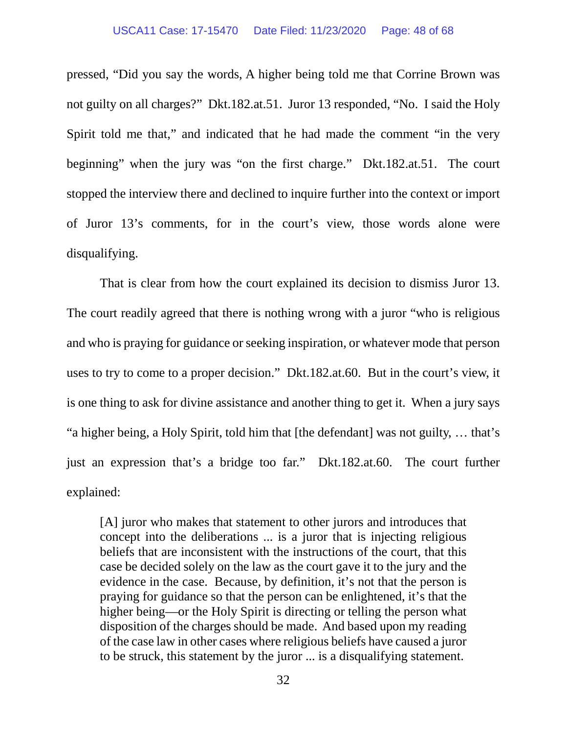### USCA11 Case: 17-15470 Date Filed: 11/23/2020 Page: 48 of 68

pressed, "Did you say the words, A higher being told me that Corrine Brown was not guilty on all charges?" Dkt.182.at.51. Juror 13 responded, "No. I said the Holy Spirit told me that," and indicated that he had made the comment "in the very beginning" when the jury was "on the first charge." Dkt.182.at.51. The court stopped the interview there and declined to inquire further into the context or import of Juror 13's comments, for in the court's view, those words alone were disqualifying.

That is clear from how the court explained its decision to dismiss Juror 13. The court readily agreed that there is nothing wrong with a juror "who is religious and who is praying for guidance or seeking inspiration, or whatever mode that person uses to try to come to a proper decision." Dkt.182.at.60. But in the court's view, it is one thing to ask for divine assistance and another thing to get it. When a jury says "a higher being, a Holy Spirit, told him that [the defendant] was not guilty, … that's just an expression that's a bridge too far." Dkt.182.at.60. The court further explained:

[A] juror who makes that statement to other jurors and introduces that concept into the deliberations ... is a juror that is injecting religious beliefs that are inconsistent with the instructions of the court, that this case be decided solely on the law as the court gave it to the jury and the evidence in the case. Because, by definition, it's not that the person is praying for guidance so that the person can be enlightened, it's that the higher being—or the Holy Spirit is directing or telling the person what disposition of the charges should be made. And based upon my reading of the case law in other cases where religious beliefs have caused a juror to be struck, this statement by the juror ... is a disqualifying statement.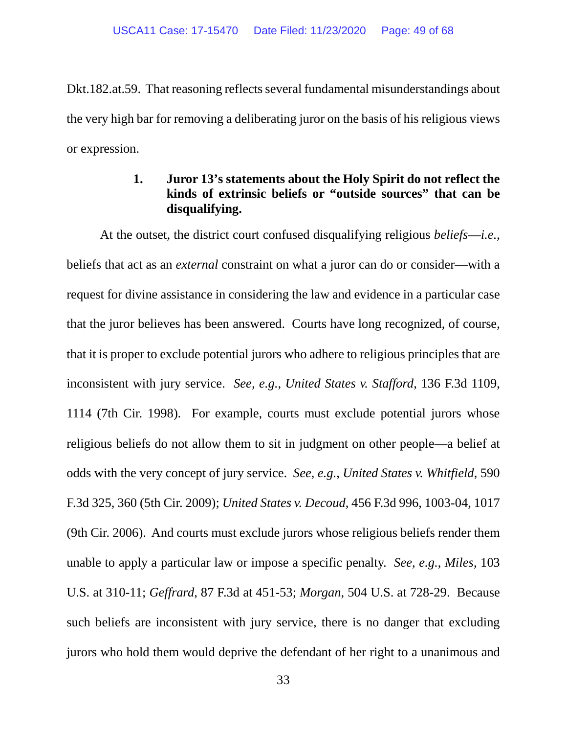Dkt.182.at.59. That reasoning reflects several fundamental misunderstandings about the very high bar for removing a deliberating juror on the basis of his religious views or expression.

# **1. Juror 13's statements about the Holy Spirit do not reflect the kinds of extrinsic beliefs or "outside sources" that can be disqualifying.**

<span id="page-48-0"></span>At the outset, the district court confused disqualifying religious *beliefs*—*i.e.*, beliefs that act as an *external* constraint on what a juror can do or consider—with a request for divine assistance in considering the law and evidence in a particular case that the juror believes has been answered. Courts have long recognized, of course, that it is proper to exclude potential jurors who adhere to religious principles that are inconsistent with jury service. *See, e.g.*, *United States v. Stafford*, 136 F.3d 1109, 1114 (7th Cir. 1998). For example, courts must exclude potential jurors whose religious beliefs do not allow them to sit in judgment on other people—a belief at odds with the very concept of jury service. *See, e.g.*, *United States v. Whitfield*, 590 F.3d 325, 360 (5th Cir. 2009); *United States v. Decoud*, 456 F.3d 996, 1003-04, 1017 (9th Cir. 2006). And courts must exclude jurors whose religious beliefs render them unable to apply a particular law or impose a specific penalty. *See, e.g.*, *Miles*, 103 U.S. at 310-11; *Geffrard*, 87 F.3d at 451-53; *Morgan*, 504 U.S. at 728-29. Because such beliefs are inconsistent with jury service, there is no danger that excluding jurors who hold them would deprive the defendant of her right to a unanimous and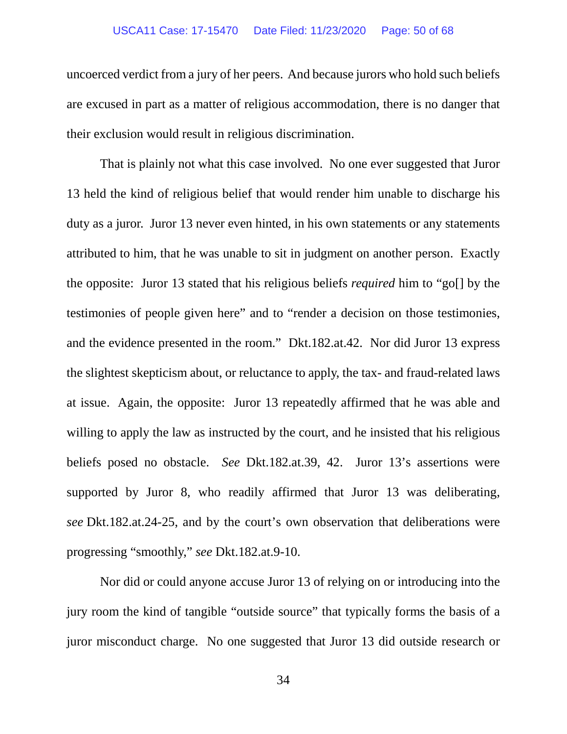### USCA11 Case: 17-15470 Date Filed: 11/23/2020 Page: 50 of 68

uncoerced verdict from a jury of her peers. And because jurors who hold such beliefs are excused in part as a matter of religious accommodation, there is no danger that their exclusion would result in religious discrimination.

That is plainly not what this case involved. No one ever suggested that Juror 13 held the kind of religious belief that would render him unable to discharge his duty as a juror. Juror 13 never even hinted, in his own statements or any statements attributed to him, that he was unable to sit in judgment on another person. Exactly the opposite: Juror 13 stated that his religious beliefs *required* him to "go[] by the testimonies of people given here" and to "render a decision on those testimonies, and the evidence presented in the room." Dkt.182.at.42. Nor did Juror 13 express the slightest skepticism about, or reluctance to apply, the tax- and fraud-related laws at issue. Again, the opposite: Juror 13 repeatedly affirmed that he was able and willing to apply the law as instructed by the court, and he insisted that his religious beliefs posed no obstacle. *See* Dkt.182.at.39, 42. Juror 13's assertions were supported by Juror 8, who readily affirmed that Juror 13 was deliberating, *see* Dkt.182.at.24-25, and by the court's own observation that deliberations were progressing "smoothly," *see* Dkt.182.at.9-10.

Nor did or could anyone accuse Juror 13 of relying on or introducing into the jury room the kind of tangible "outside source" that typically forms the basis of a juror misconduct charge. No one suggested that Juror 13 did outside research or

34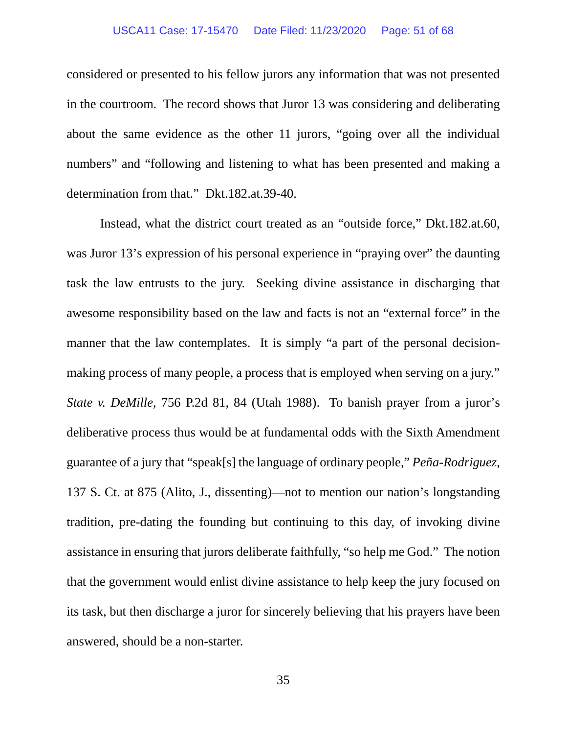### USCA11 Case: 17-15470 Date Filed: 11/23/2020 Page: 51 of 68

considered or presented to his fellow jurors any information that was not presented in the courtroom. The record shows that Juror 13 was considering and deliberating about the same evidence as the other 11 jurors, "going over all the individual numbers" and "following and listening to what has been presented and making a determination from that." Dkt.182.at.39-40.

Instead, what the district court treated as an "outside force," Dkt.182.at.60, was Juror 13's expression of his personal experience in "praying over" the daunting task the law entrusts to the jury. Seeking divine assistance in discharging that awesome responsibility based on the law and facts is not an "external force" in the manner that the law contemplates. It is simply "a part of the personal decisionmaking process of many people, a process that is employed when serving on a jury." *State v. DeMille*, 756 P.2d 81, 84 (Utah 1988). To banish prayer from a juror's deliberative process thus would be at fundamental odds with the Sixth Amendment guarantee of a jury that "speak[s] the language of ordinary people," *Peña-Rodriguez*, 137 S. Ct. at 875 (Alito, J., dissenting)—not to mention our nation's longstanding tradition, pre-dating the founding but continuing to this day, of invoking divine assistance in ensuring that jurors deliberate faithfully, "so help me God." The notion that the government would enlist divine assistance to help keep the jury focused on its task, but then discharge a juror for sincerely believing that his prayers have been answered, should be a non-starter.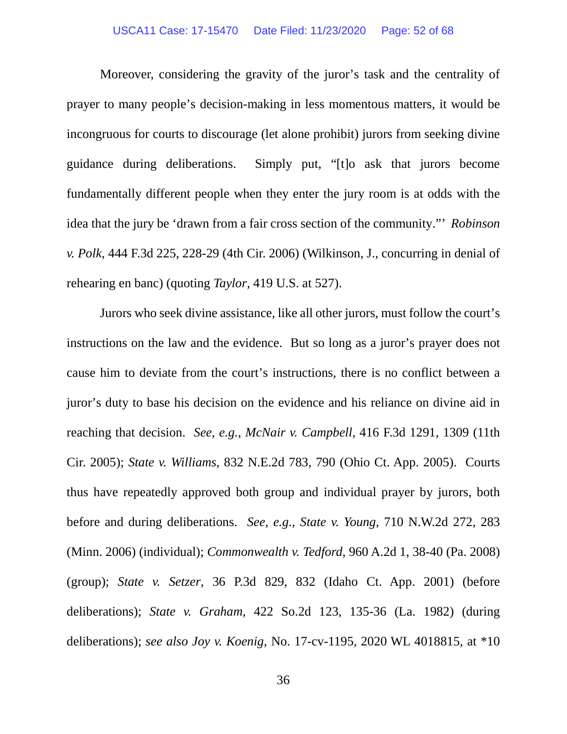Moreover, considering the gravity of the juror's task and the centrality of prayer to many people's decision-making in less momentous matters, it would be incongruous for courts to discourage (let alone prohibit) jurors from seeking divine guidance during deliberations. Simply put, "[t]o ask that jurors become fundamentally different people when they enter the jury room is at odds with the idea that the jury be 'drawn from a fair cross section of the community."' *Robinson v. Polk*, 444 F.3d 225, 228-29 (4th Cir. 2006) (Wilkinson, J., concurring in denial of rehearing en banc) (quoting *Taylor*, 419 U.S. at 527).

Jurors who seek divine assistance, like all other jurors, must follow the court's instructions on the law and the evidence. But so long as a juror's prayer does not cause him to deviate from the court's instructions, there is no conflict between a juror's duty to base his decision on the evidence and his reliance on divine aid in reaching that decision. *See, e.g.*, *McNair v. Campbell*, 416 F.3d 1291, 1309 (11th Cir. 2005); *State v. Williams*, 832 N.E.2d 783, 790 (Ohio Ct. App. 2005). Courts thus have repeatedly approved both group and individual prayer by jurors, both before and during deliberations. *See, e.g.*, *State v. Young*, 710 N.W.2d 272, 283 (Minn. 2006) (individual); *Commonwealth v. Tedford*, 960 A.2d 1, 38-40 (Pa. 2008) (group); *State v. Setzer*, 36 P.3d 829, 832 (Idaho Ct. App. 2001) (before deliberations); *State v. Graham*, 422 So.2d 123, 135-36 (La. 1982) (during deliberations); *see also Joy v. Koenig*, No. 17-cv-1195, 2020 WL 4018815, at \*10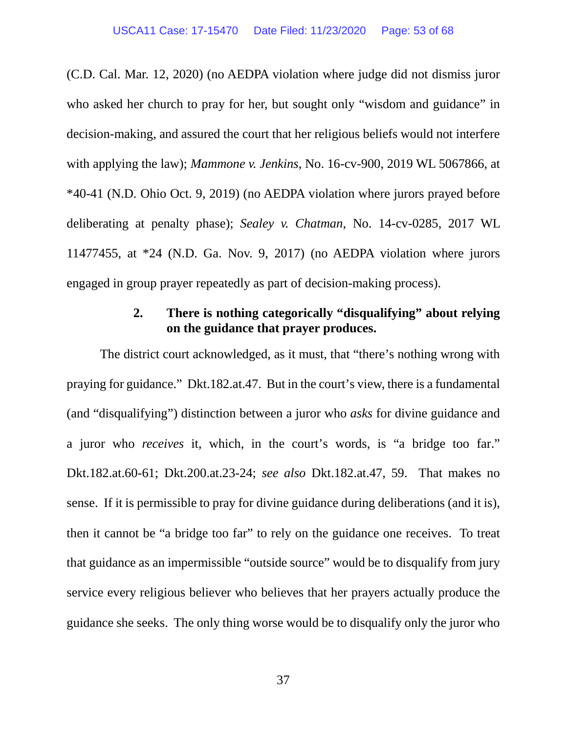(C.D. Cal. Mar. 12, 2020) (no AEDPA violation where judge did not dismiss juror who asked her church to pray for her, but sought only "wisdom and guidance" in decision-making, and assured the court that her religious beliefs would not interfere with applying the law); *Mammone v. Jenkins*, No. 16-cv-900, 2019 WL 5067866, at \*40-41 (N.D. Ohio Oct. 9, 2019) (no AEDPA violation where jurors prayed before deliberating at penalty phase); *Sealey v. Chatman*, No. 14-cv-0285, 2017 WL 11477455, at \*24 (N.D. Ga. Nov. 9, 2017) (no AEDPA violation where jurors engaged in group prayer repeatedly as part of decision-making process).

# **2. There is nothing categorically "disqualifying" about relying on the guidance that prayer produces.**

<span id="page-52-0"></span>The district court acknowledged, as it must, that "there's nothing wrong with praying for guidance." Dkt.182.at.47. But in the court's view, there is a fundamental (and "disqualifying") distinction between a juror who *asks* for divine guidance and a juror who *receives* it, which, in the court's words, is "a bridge too far." Dkt.182.at.60-61; Dkt.200.at.23-24; *see also* Dkt.182.at.47, 59. That makes no sense. If it is permissible to pray for divine guidance during deliberations (and it is), then it cannot be "a bridge too far" to rely on the guidance one receives. To treat that guidance as an impermissible "outside source" would be to disqualify from jury service every religious believer who believes that her prayers actually produce the guidance she seeks. The only thing worse would be to disqualify only the juror who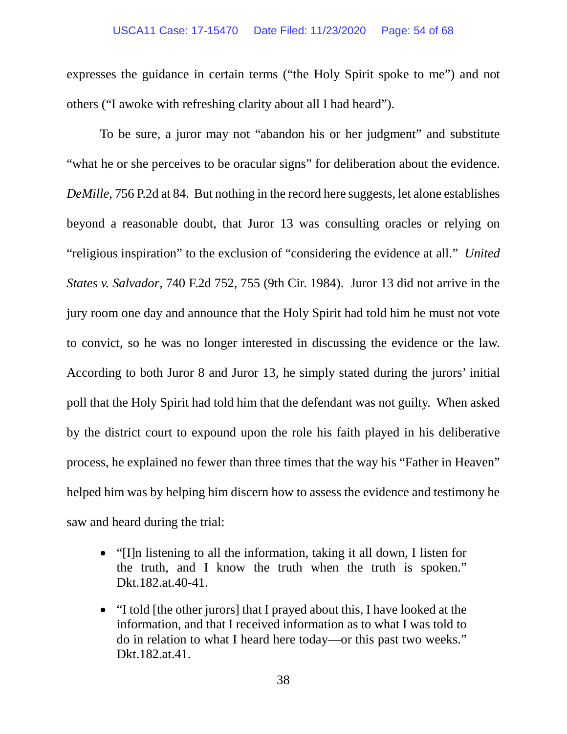### USCA11 Case: 17-15470 Date Filed: 11/23/2020 Page: 54 of 68

expresses the guidance in certain terms ("the Holy Spirit spoke to me") and not others ("I awoke with refreshing clarity about all I had heard").

To be sure, a juror may not "abandon his or her judgment" and substitute "what he or she perceives to be oracular signs" for deliberation about the evidence. *DeMille*, 756 P.2d at 84. But nothing in the record here suggests, let alone establishes beyond a reasonable doubt, that Juror 13 was consulting oracles or relying on "religious inspiration" to the exclusion of "considering the evidence at all." *United States v. Salvador*, 740 F.2d 752, 755 (9th Cir. 1984). Juror 13 did not arrive in the jury room one day and announce that the Holy Spirit had told him he must not vote to convict, so he was no longer interested in discussing the evidence or the law. According to both Juror 8 and Juror 13, he simply stated during the jurors' initial poll that the Holy Spirit had told him that the defendant was not guilty. When asked by the district court to expound upon the role his faith played in his deliberative process, he explained no fewer than three times that the way his "Father in Heaven" helped him was by helping him discern how to assess the evidence and testimony he saw and heard during the trial:

- "[I]n listening to all the information, taking it all down, I listen for the truth, and I know the truth when the truth is spoken." Dkt.182.at.40-41.
- "I told [the other jurors] that I prayed about this, I have looked at the information, and that I received information as to what I was told to do in relation to what I heard here today—or this past two weeks." Dkt.182.at.41.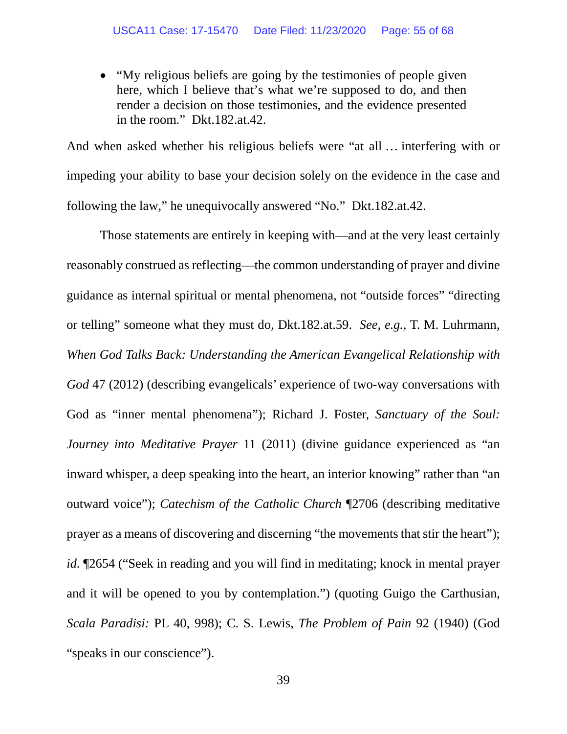• "My religious beliefs are going by the testimonies of people given here, which I believe that's what we're supposed to do, and then render a decision on those testimonies, and the evidence presented in the room." Dkt.182.at.42.

And when asked whether his religious beliefs were "at all … interfering with or impeding your ability to base your decision solely on the evidence in the case and following the law," he unequivocally answered "No." Dkt.182.at.42.

Those statements are entirely in keeping with—and at the very least certainly reasonably construed as reflecting—the common understanding of prayer and divine guidance as internal spiritual or mental phenomena, not "outside forces" "directing or telling" someone what they must do, Dkt.182.at.59. *See, e.g.*, T. M. Luhrmann, *When God Talks Back: Understanding the American Evangelical Relationship with God* 47 (2012) (describing evangelicals' experience of two-way conversations with God as "inner mental phenomena"); Richard J. Foster, *Sanctuary of the Soul: Journey into Meditative Prayer* 11 (2011) (divine guidance experienced as "an inward whisper, a deep speaking into the heart, an interior knowing" rather than "an outward voice"); *Catechism of the Catholic Church* ¶2706 (describing meditative prayer as a means of discovering and discerning "the movements that stir the heart"); *id.* ¶2654 ("Seek in reading and you will find in meditating; knock in mental prayer and it will be opened to you by contemplation.") (quoting Guigo the Carthusian, *Scala Paradisi:* PL 40, 998); C. S. Lewis, *The Problem of Pain* 92 (1940) (God "speaks in our conscience").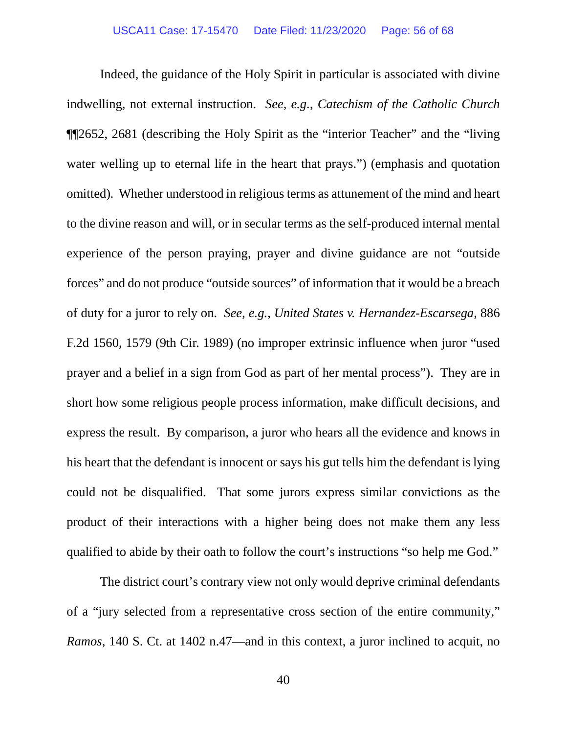Indeed, the guidance of the Holy Spirit in particular is associated with divine indwelling, not external instruction. *See, e.g.*, *Catechism of the Catholic Church* ¶¶2652, 2681 (describing the Holy Spirit as the "interior Teacher" and the "living water welling up to eternal life in the heart that prays.") (emphasis and quotation omitted)*.* Whether understood in religious terms as attunement of the mind and heart to the divine reason and will, or in secular terms as the self-produced internal mental experience of the person praying, prayer and divine guidance are not "outside forces" and do not produce "outside sources" of information that it would be a breach of duty for a juror to rely on. *See, e.g.*, *United States v. Hernandez-Escarsega*, 886 F.2d 1560, 1579 (9th Cir. 1989) (no improper extrinsic influence when juror "used prayer and a belief in a sign from God as part of her mental process"). They are in short how some religious people process information, make difficult decisions, and express the result. By comparison, a juror who hears all the evidence and knows in his heart that the defendant is innocent or says his gut tells him the defendant is lying could not be disqualified. That some jurors express similar convictions as the product of their interactions with a higher being does not make them any less qualified to abide by their oath to follow the court's instructions "so help me God."

The district court's contrary view not only would deprive criminal defendants of a "jury selected from a representative cross section of the entire community," *Ramos*, 140 S. Ct. at 1402 n.47—and in this context, a juror inclined to acquit, no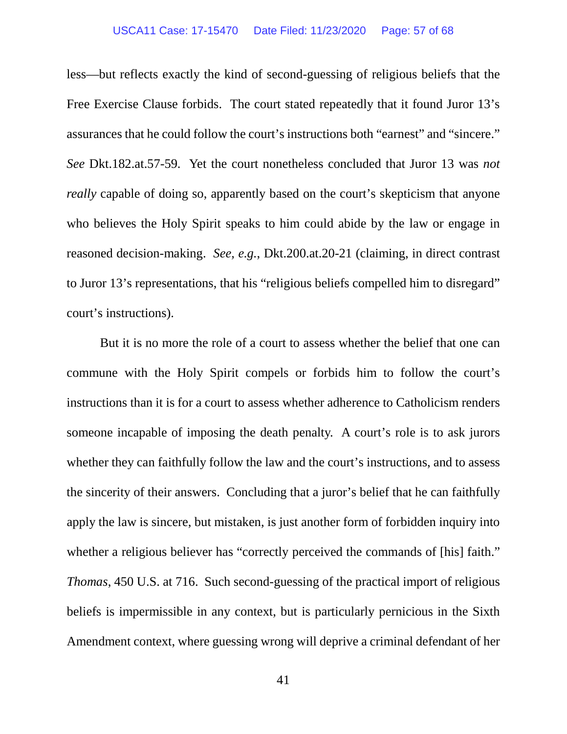### USCA11 Case: 17-15470 Date Filed: 11/23/2020 Page: 57 of 68

less—but reflects exactly the kind of second-guessing of religious beliefs that the Free Exercise Clause forbids. The court stated repeatedly that it found Juror 13's assurances that he could follow the court's instructions both "earnest" and "sincere." *See* Dkt.182.at.57-59. Yet the court nonetheless concluded that Juror 13 was *not really* capable of doing so, apparently based on the court's skepticism that anyone who believes the Holy Spirit speaks to him could abide by the law or engage in reasoned decision-making. *See, e.g.*, Dkt.200.at.20-21 (claiming, in direct contrast to Juror 13's representations, that his "religious beliefs compelled him to disregard" court's instructions).

But it is no more the role of a court to assess whether the belief that one can commune with the Holy Spirit compels or forbids him to follow the court's instructions than it is for a court to assess whether adherence to Catholicism renders someone incapable of imposing the death penalty. A court's role is to ask jurors whether they can faithfully follow the law and the court's instructions, and to assess the sincerity of their answers. Concluding that a juror's belief that he can faithfully apply the law is sincere, but mistaken, is just another form of forbidden inquiry into whether a religious believer has "correctly perceived the commands of [his] faith." *Thomas*, 450 U.S. at 716. Such second-guessing of the practical import of religious beliefs is impermissible in any context, but is particularly pernicious in the Sixth Amendment context, where guessing wrong will deprive a criminal defendant of her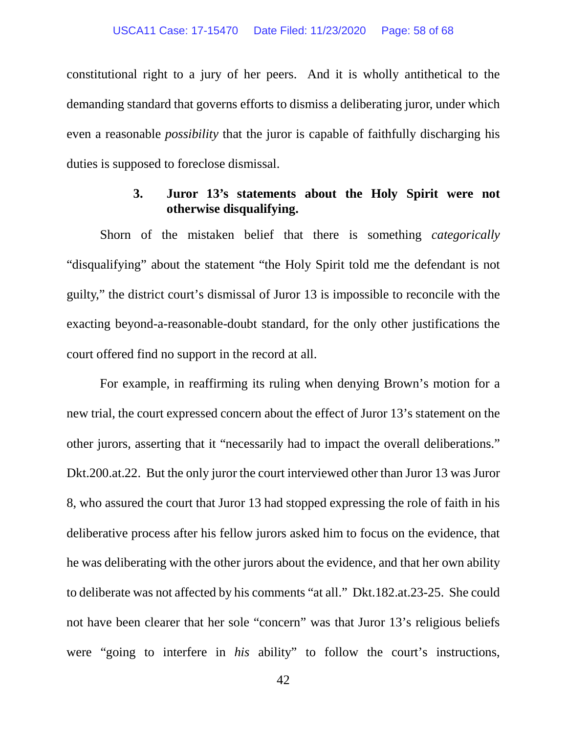constitutional right to a jury of her peers. And it is wholly antithetical to the demanding standard that governs efforts to dismiss a deliberating juror, under which even a reasonable *possibility* that the juror is capable of faithfully discharging his duties is supposed to foreclose dismissal.

### **3. Juror 13's statements about the Holy Spirit were not otherwise disqualifying.**

<span id="page-57-0"></span>Shorn of the mistaken belief that there is something *categorically* "disqualifying" about the statement "the Holy Spirit told me the defendant is not guilty," the district court's dismissal of Juror 13 is impossible to reconcile with the exacting beyond-a-reasonable-doubt standard, for the only other justifications the court offered find no support in the record at all.

For example, in reaffirming its ruling when denying Brown's motion for a new trial, the court expressed concern about the effect of Juror 13's statement on the other jurors, asserting that it "necessarily had to impact the overall deliberations." Dkt.200.at.22. But the only juror the court interviewed other than Juror 13 was Juror 8, who assured the court that Juror 13 had stopped expressing the role of faith in his deliberative process after his fellow jurors asked him to focus on the evidence, that he was deliberating with the other jurors about the evidence, and that her own ability to deliberate was not affected by his comments "at all." Dkt.182.at.23-25. She could not have been clearer that her sole "concern" was that Juror 13's religious beliefs were "going to interfere in *his* ability" to follow the court's instructions,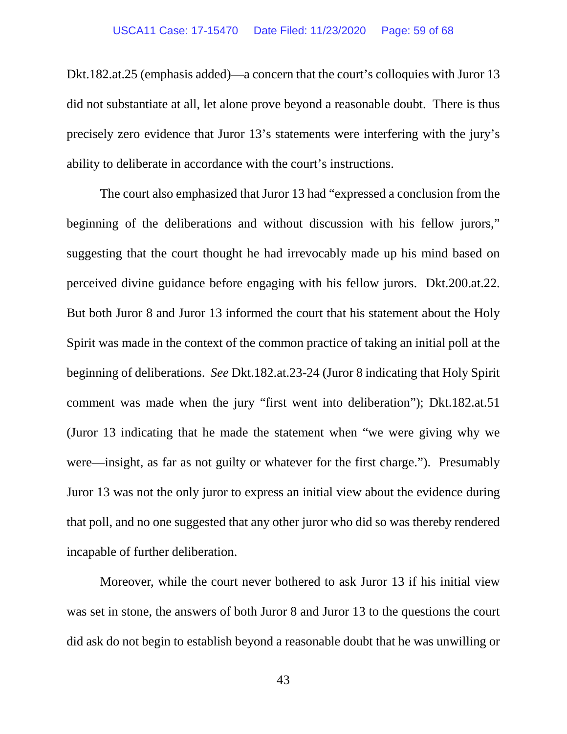Dkt.182.at.25 (emphasis added)—a concern that the court's colloquies with Juror 13 did not substantiate at all, let alone prove beyond a reasonable doubt. There is thus precisely zero evidence that Juror 13's statements were interfering with the jury's ability to deliberate in accordance with the court's instructions.

The court also emphasized that Juror 13 had "expressed a conclusion from the beginning of the deliberations and without discussion with his fellow jurors," suggesting that the court thought he had irrevocably made up his mind based on perceived divine guidance before engaging with his fellow jurors. Dkt.200.at.22. But both Juror 8 and Juror 13 informed the court that his statement about the Holy Spirit was made in the context of the common practice of taking an initial poll at the beginning of deliberations. *See* Dkt.182.at.23-24 (Juror 8 indicating that Holy Spirit comment was made when the jury "first went into deliberation"); Dkt.182.at.51 (Juror 13 indicating that he made the statement when "we were giving why we were—insight, as far as not guilty or whatever for the first charge."). Presumably Juror 13 was not the only juror to express an initial view about the evidence during that poll, and no one suggested that any other juror who did so was thereby rendered incapable of further deliberation.

Moreover, while the court never bothered to ask Juror 13 if his initial view was set in stone, the answers of both Juror 8 and Juror 13 to the questions the court did ask do not begin to establish beyond a reasonable doubt that he was unwilling or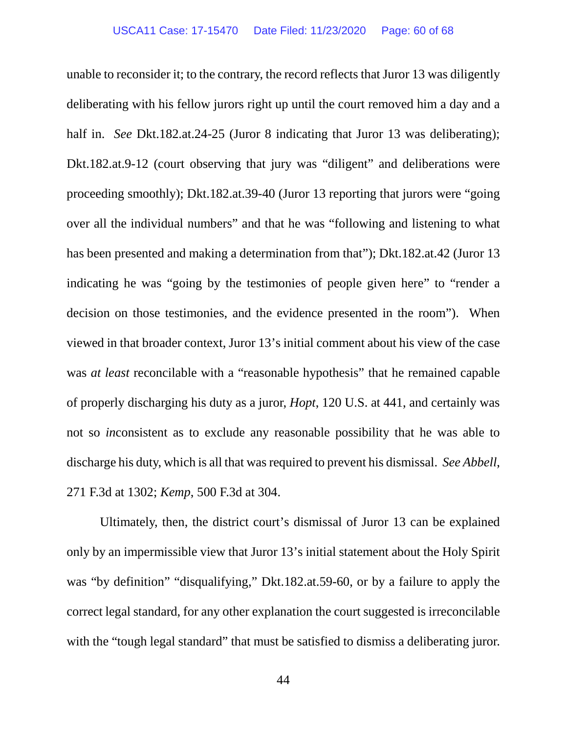unable to reconsider it; to the contrary, the record reflects that Juror 13 was diligently deliberating with his fellow jurors right up until the court removed him a day and a half in. *See* Dkt.182.at.24-25 (Juror 8 indicating that Juror 13 was deliberating); Dkt.182.at.9-12 (court observing that jury was "diligent" and deliberations were proceeding smoothly); Dkt.182.at.39-40 (Juror 13 reporting that jurors were "going over all the individual numbers" and that he was "following and listening to what has been presented and making a determination from that"); Dkt.182.at.42 (Juror 13 indicating he was "going by the testimonies of people given here" to "render a decision on those testimonies, and the evidence presented in the room"). When viewed in that broader context, Juror 13's initial comment about his view of the case was *at least* reconcilable with a "reasonable hypothesis" that he remained capable of properly discharging his duty as a juror, *Hopt*, 120 U.S. at 441, and certainly was not so *in*consistent as to exclude any reasonable possibility that he was able to discharge his duty, which is all that was required to prevent his dismissal. *See Abbell*, 271 F.3d at 1302; *Kemp*, 500 F.3d at 304.

Ultimately, then, the district court's dismissal of Juror 13 can be explained only by an impermissible view that Juror 13's initial statement about the Holy Spirit was "by definition" "disqualifying," Dkt.182.at.59-60, or by a failure to apply the correct legal standard, for any other explanation the court suggested is irreconcilable with the "tough legal standard" that must be satisfied to dismiss a deliberating juror.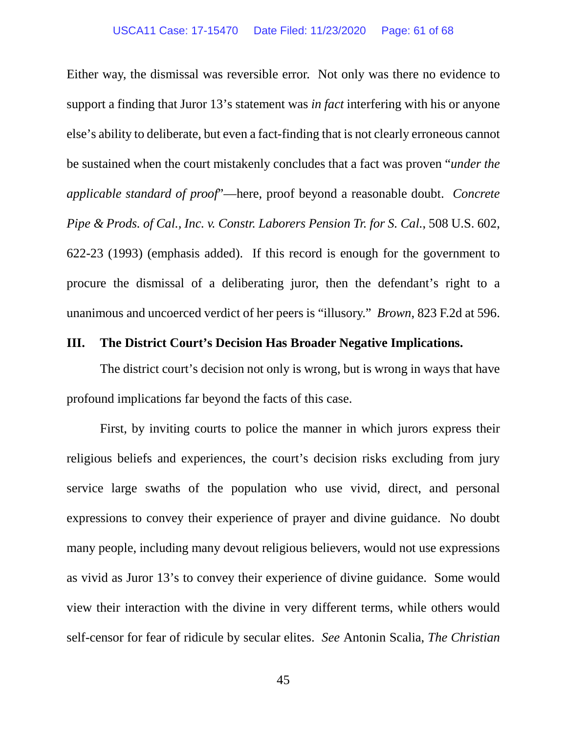Either way, the dismissal was reversible error. Not only was there no evidence to support a finding that Juror 13's statement was *in fact* interfering with his or anyone else's ability to deliberate, but even a fact-finding that is not clearly erroneous cannot be sustained when the court mistakenly concludes that a fact was proven "*under the applicable standard of proof*"—here, proof beyond a reasonable doubt. *Concrete Pipe & Prods. of Cal., Inc. v. Constr. Laborers Pension Tr. for S. Cal.*, 508 U.S. 602, 622-23 (1993) (emphasis added). If this record is enough for the government to procure the dismissal of a deliberating juror, then the defendant's right to a unanimous and uncoerced verdict of her peers is "illusory." *Brown*, 823 F.2d at 596.

### <span id="page-60-0"></span>**III. The District Court's Decision Has Broader Negative Implications.**

The district court's decision not only is wrong, but is wrong in ways that have profound implications far beyond the facts of this case.

First, by inviting courts to police the manner in which jurors express their religious beliefs and experiences, the court's decision risks excluding from jury service large swaths of the population who use vivid, direct, and personal expressions to convey their experience of prayer and divine guidance. No doubt many people, including many devout religious believers, would not use expressions as vivid as Juror 13's to convey their experience of divine guidance. Some would view their interaction with the divine in very different terms, while others would self-censor for fear of ridicule by secular elites. *See* Antonin Scalia, *The Christian*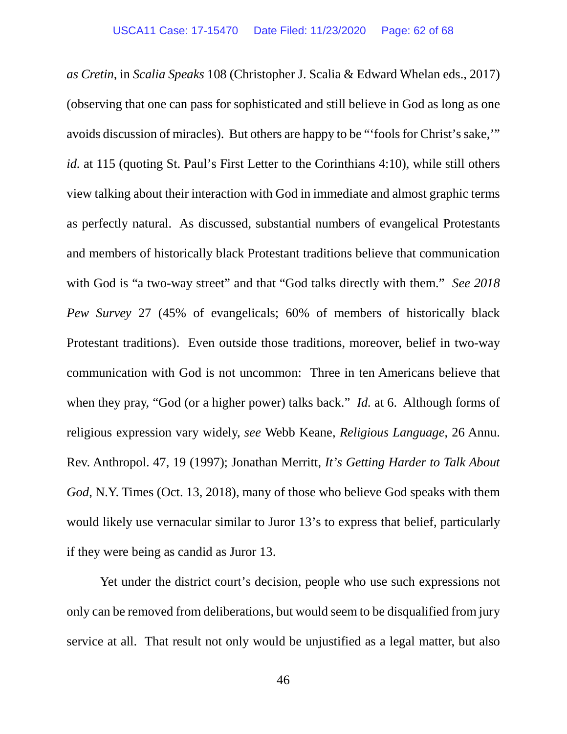*as Cretin*, in *Scalia Speaks* 108 (Christopher J. Scalia & Edward Whelan eds., 2017) (observing that one can pass for sophisticated and still believe in God as long as one avoids discussion of miracles). But others are happy to be "'fools for Christ's sake,'" *id.* at 115 (quoting St. Paul's First Letter to the Corinthians 4:10), while still others view talking about their interaction with God in immediate and almost graphic terms as perfectly natural. As discussed, substantial numbers of evangelical Protestants and members of historically black Protestant traditions believe that communication with God is "a two-way street" and that "God talks directly with them." *See 2018 Pew Survey* 27 (45% of evangelicals; 60% of members of historically black Protestant traditions). Even outside those traditions, moreover, belief in two-way communication with God is not uncommon: Three in ten Americans believe that when they pray, "God (or a higher power) talks back." *Id.* at 6. Although forms of religious expression vary widely, *see* Webb Keane, *Religious Language*, 26 Annu. Rev. Anthropol. 47, 19 (1997); Jonathan Merritt, *It's Getting Harder to Talk About God*, N.Y. Times (Oct. 13, 2018), many of those who believe God speaks with them would likely use vernacular similar to Juror 13's to express that belief, particularly if they were being as candid as Juror 13.

Yet under the district court's decision, people who use such expressions not only can be removed from deliberations, but would seem to be disqualified from jury service at all. That result not only would be unjustified as a legal matter, but also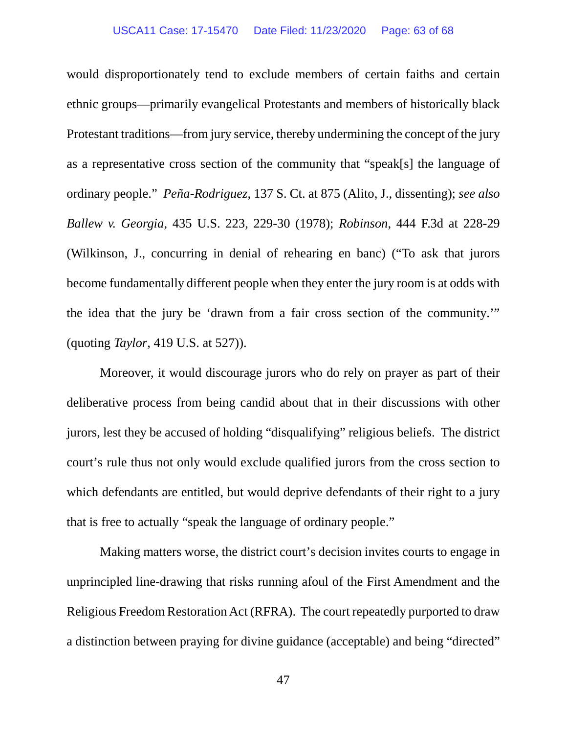would disproportionately tend to exclude members of certain faiths and certain ethnic groups—primarily evangelical Protestants and members of historically black Protestant traditions—from jury service, thereby undermining the concept of the jury as a representative cross section of the community that "speak[s] the language of ordinary people." *Peña-Rodriguez*, 137 S. Ct. at 875 (Alito, J., dissenting); *see also Ballew v. Georgia*, 435 U.S. 223, 229-30 (1978); *Robinson*, 444 F.3d at 228-29 (Wilkinson, J., concurring in denial of rehearing en banc) ("To ask that jurors become fundamentally different people when they enter the jury room is at odds with the idea that the jury be 'drawn from a fair cross section of the community.'" (quoting *Taylor*, 419 U.S. at 527)).

Moreover, it would discourage jurors who do rely on prayer as part of their deliberative process from being candid about that in their discussions with other jurors, lest they be accused of holding "disqualifying" religious beliefs. The district court's rule thus not only would exclude qualified jurors from the cross section to which defendants are entitled, but would deprive defendants of their right to a jury that is free to actually "speak the language of ordinary people."

Making matters worse, the district court's decision invites courts to engage in unprincipled line-drawing that risks running afoul of the First Amendment and the Religious Freedom Restoration Act (RFRA). The court repeatedly purported to draw a distinction between praying for divine guidance (acceptable) and being "directed"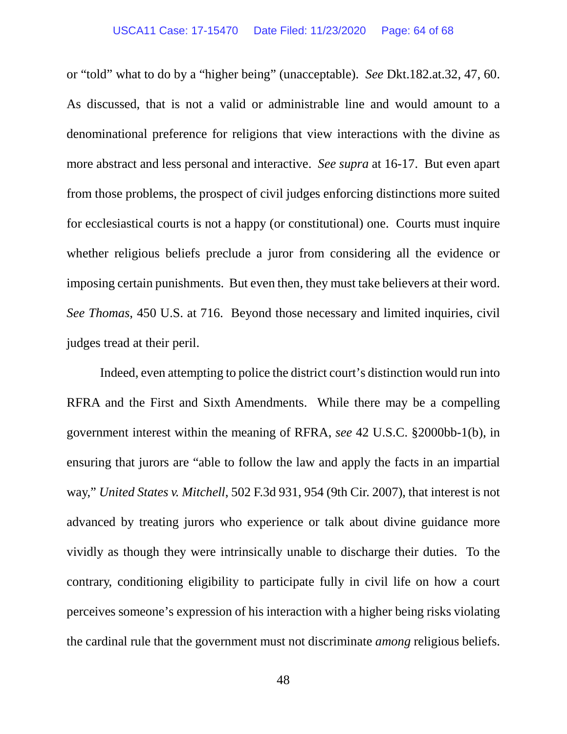### USCA11 Case: 17-15470 Date Filed: 11/23/2020 Page: 64 of 68

or "told" what to do by a "higher being" (unacceptable). *See* Dkt.182.at.32, 47, 60. As discussed, that is not a valid or administrable line and would amount to a denominational preference for religions that view interactions with the divine as more abstract and less personal and interactive. *See supra* at 16-17. But even apart from those problems, the prospect of civil judges enforcing distinctions more suited for ecclesiastical courts is not a happy (or constitutional) one. Courts must inquire whether religious beliefs preclude a juror from considering all the evidence or imposing certain punishments. But even then, they must take believers at their word. *See Thomas*, 450 U.S. at 716.Beyond those necessary and limited inquiries, civil judges tread at their peril.

Indeed, even attempting to police the district court's distinction would run into RFRA and the First and Sixth Amendments. While there may be a compelling government interest within the meaning of RFRA, *see* 42 U.S.C. §2000bb-1(b), in ensuring that jurors are "able to follow the law and apply the facts in an impartial way," *United States v. Mitchell*, 502 F.3d 931, 954 (9th Cir. 2007), that interest is not advanced by treating jurors who experience or talk about divine guidance more vividly as though they were intrinsically unable to discharge their duties. To the contrary, conditioning eligibility to participate fully in civil life on how a court perceives someone's expression of his interaction with a higher being risks violating the cardinal rule that the government must not discriminate *among* religious beliefs.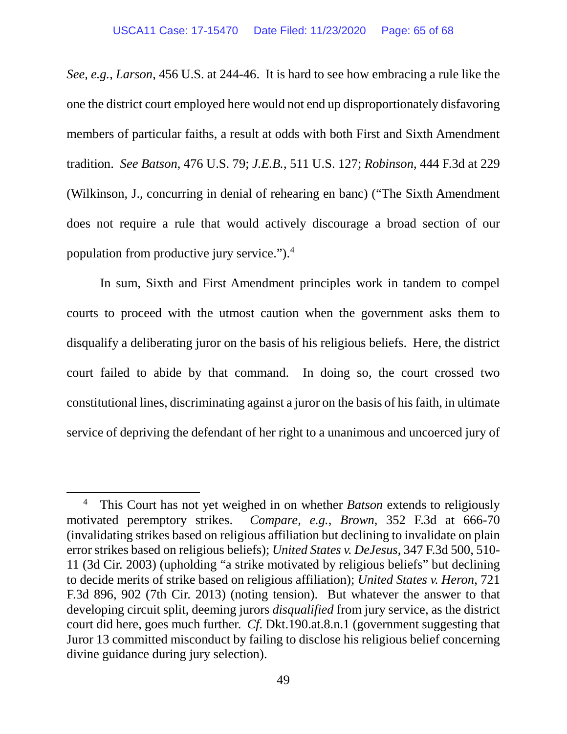*See, e.g.*, *Larson*, 456 U.S. at 244-46. It is hard to see how embracing a rule like the one the district court employed here would not end up disproportionately disfavoring members of particular faiths, a result at odds with both First and Sixth Amendment tradition. *See Batson*, 476 U.S. 79; *J.E.B.*, 511 U.S. 127; *Robinson*, 444 F.3d at 229 (Wilkinson, J., concurring in denial of rehearing en banc) ("The Sixth Amendment does not require a rule that would actively discourage a broad section of our population from productive jury service.").[4](#page-67-1)

In sum, Sixth and First Amendment principles work in tandem to compel courts to proceed with the utmost caution when the government asks them to disqualify a deliberating juror on the basis of his religious beliefs. Here, the district court failed to abide by that command. In doing so, the court crossed two constitutional lines, discriminating against a juror on the basis of his faith, in ultimate service of depriving the defendant of her right to a unanimous and uncoerced jury of

 $\overline{a}$ 

<sup>4</sup> This Court has not yet weighed in on whether *Batson* extends to religiously motivated peremptory strikes. *Compare, e.g.*, *Brown*, 352 F.3d at 666-70 (invalidating strikes based on religious affiliation but declining to invalidate on plain error strikes based on religious beliefs); *United States v. DeJesus*, 347 F.3d 500, 510- 11 (3d Cir. 2003) (upholding "a strike motivated by religious beliefs" but declining to decide merits of strike based on religious affiliation); *United States v. Heron*, 721 F.3d 896, 902 (7th Cir. 2013) (noting tension). But whatever the answer to that developing circuit split, deeming jurors *disqualified* from jury service, as the district court did here, goes much further. *Cf.* Dkt.190.at.8.n.1 (government suggesting that Juror 13 committed misconduct by failing to disclose his religious belief concerning divine guidance during jury selection).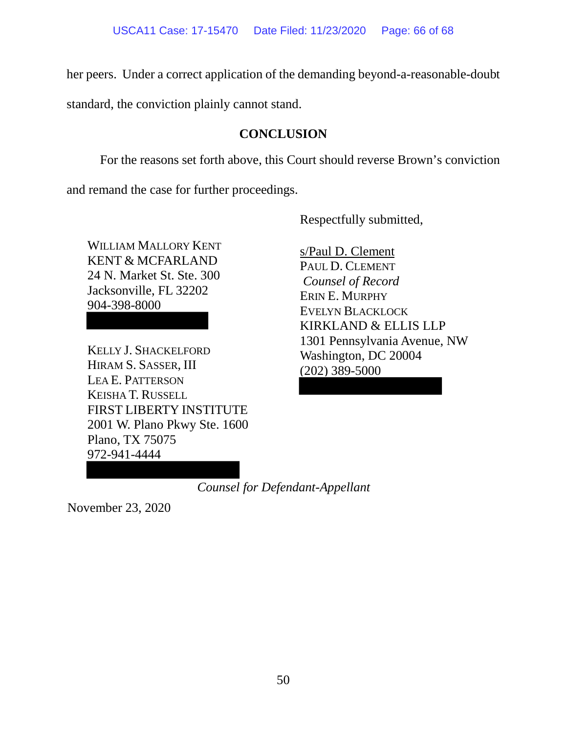her peers. Under a correct application of the demanding beyond-a-reasonable-doubt

<span id="page-65-0"></span>standard, the conviction plainly cannot stand.

# **CONCLUSION**

For the reasons set forth above, this Court should reverse Brown's conviction

and remand the case for further proceedings.

Respectfully submitted,

WILLIAM MALLORY KENT KENT & MCFARLAND 24 N. Market St. Ste. 300 Jacksonville, FL 32202 904-398-8000

KELLY J. SHACKELFORD HIRAM S. SASSER, III LEA E. PATTERSON KEISHA T. RUSSELL FIRST LIBERTY INSTITUTE 2001 W. Plano Pkwy Ste. 1600 Plano, TX 75075 972-941-4444

s/Paul D. Clement PAUL D. CLEMENT *Counsel of Record* ERIN E. MURPHY EVELYN BLACKLOCK KIRKLAND & ELLIS LLP 1301 Pennsylvania Avenue, NW Washington, DC 20004 (202) 389-5000

*Counsel for Defendant-Appellant*

November 23, 2020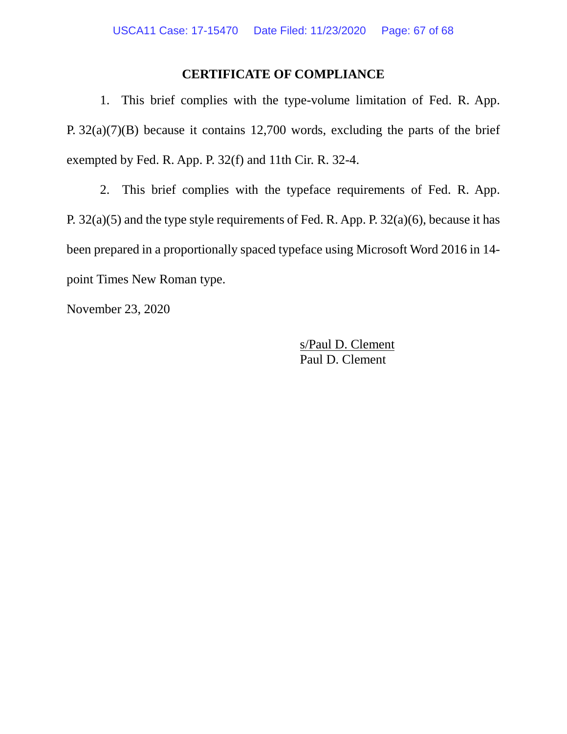# **CERTIFICATE OF COMPLIANCE**

<span id="page-66-0"></span>1. This brief complies with the type-volume limitation of Fed. R. App. P. 32(a)(7)(B) because it contains 12,700 words, excluding the parts of the brief exempted by Fed. R. App. P. 32(f) and 11th Cir. R. 32-4.

2. This brief complies with the typeface requirements of Fed. R. App. P. 32(a)(5) and the type style requirements of Fed. R. App. P. 32(a)(6), because it has been prepared in a proportionally spaced typeface using Microsoft Word 2016 in 14 point Times New Roman type.

November 23, 2020

s/Paul D. Clement Paul D. Clement